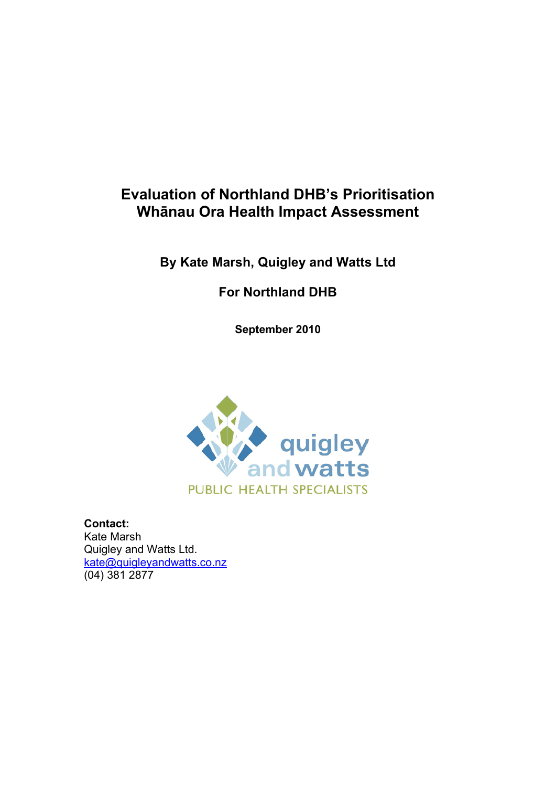# **Evaluation of Northland DHB's Prioritisation Whānau Ora Health Impact Assessment**

# **By Kate Marsh, Quigley and Watts Ltd**

# **For Northland DHB**

**September 2010** 



**Contact:**  Kate Marsh Quigley and Watts Ltd. [kate@quigleyandwatts.co.nz](mailto:kate@quigleyandwatts.co.nz) (04) 381 2877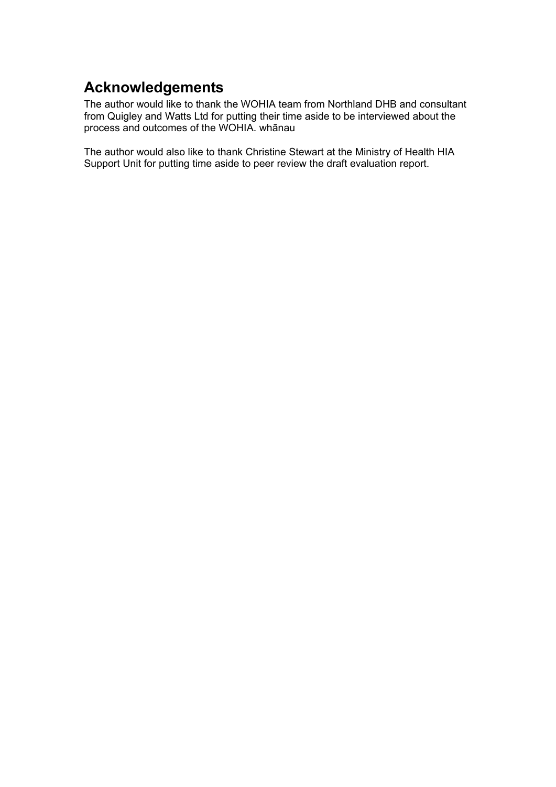# <span id="page-1-0"></span>**Acknowledgements**

The author would like to thank the WOHIA team from Northland DHB and consultant from Quigley and Watts Ltd for putting their time aside to be interviewed about the process and outcomes of the WOHIA. whānau

The author would also like to thank Christine Stewart at the Ministry of Health HIA Support Unit for putting time aside to peer review the draft evaluation report.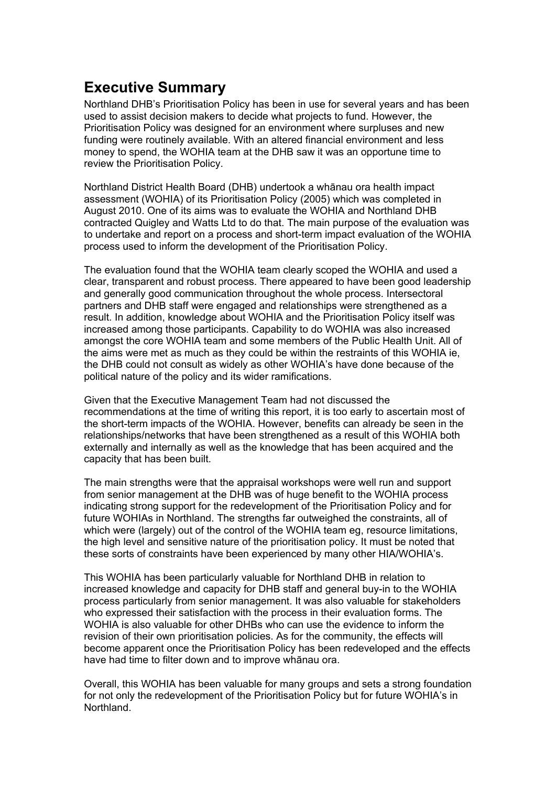# <span id="page-2-0"></span>**Executive Summary**

Northland DHB's Prioritisation Policy has been in use for several years and has been used to assist decision makers to decide what projects to fund. However, the Prioritisation Policy was designed for an environment where surpluses and new funding were routinely available. With an altered financial environment and less money to spend, the WOHIA team at the DHB saw it was an opportune time to review the Prioritisation Policy.

Northland District Health Board (DHB) undertook a whānau ora health impact assessment (WOHIA) of its Prioritisation Policy (2005) which was completed in August 2010. One of its aims was to evaluate the WOHIA and Northland DHB contracted Quigley and Watts Ltd to do that. The main purpose of the evaluation was to undertake and report on a process and short-term impact evaluation of the WOHIA process used to inform the development of the Prioritisation Policy.

The evaluation found that the WOHIA team clearly scoped the WOHIA and used a clear, transparent and robust process. There appeared to have been good leadership and generally good communication throughout the whole process. Intersectoral partners and DHB staff were engaged and relationships were strengthened as a result. In addition, knowledge about WOHIA and the Prioritisation Policy itself was increased among those participants. Capability to do WOHIA was also increased amongst the core WOHIA team and some members of the Public Health Unit. All of the aims were met as much as they could be within the restraints of this WOHIA ie, the DHB could not consult as widely as other WOHIA's have done because of the political nature of the policy and its wider ramifications.

Given that the Executive Management Team had not discussed the recommendations at the time of writing this report, it is too early to ascertain most of the short-term impacts of the WOHIA. However, benefits can already be seen in the relationships/networks that have been strengthened as a result of this WOHIA both externally and internally as well as the knowledge that has been acquired and the capacity that has been built.

The main strengths were that the appraisal workshops were well run and support from senior management at the DHB was of huge benefit to the WOHIA process indicating strong support for the redevelopment of the Prioritisation Policy and for future WOHIAs in Northland. The strengths far outweighed the constraints, all of which were (largely) out of the control of the WOHIA team eg, resource limitations, the high level and sensitive nature of the prioritisation policy. It must be noted that these sorts of constraints have been experienced by many other HIA/WOHIA's.

This WOHIA has been particularly valuable for Northland DHB in relation to increased knowledge and capacity for DHB staff and general buy-in to the WOHIA process particularly from senior management. It was also valuable for stakeholders who expressed their satisfaction with the process in their evaluation forms. The WOHIA is also valuable for other DHBs who can use the evidence to inform the revision of their own prioritisation policies. As for the community, the effects will become apparent once the Prioritisation Policy has been redeveloped and the effects have had time to filter down and to improve whānau ora.

Overall, this WOHIA has been valuable for many groups and sets a strong foundation for not only the redevelopment of the Prioritisation Policy but for future WOHIA's in Northland.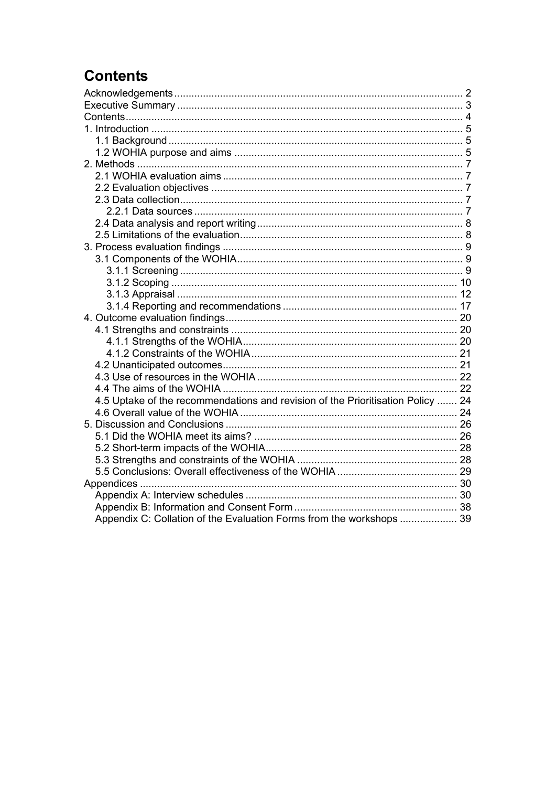# <span id="page-3-0"></span>**Contents**

| 4.5 Uptake of the recommendations and revision of the Prioritisation Policy  24 |  |
|---------------------------------------------------------------------------------|--|
|                                                                                 |  |
|                                                                                 |  |
|                                                                                 |  |
|                                                                                 |  |
|                                                                                 |  |
|                                                                                 |  |
|                                                                                 |  |
|                                                                                 |  |
|                                                                                 |  |
| Appendix C: Collation of the Evaluation Forms from the workshops  39            |  |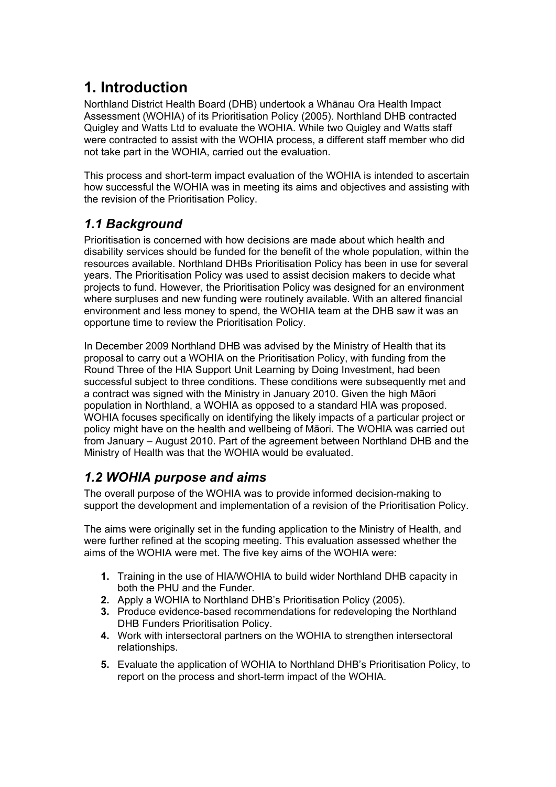# <span id="page-4-0"></span>**1. Introduction**

Northland District Health Board (DHB) undertook a Whānau Ora Health Impact Assessment (WOHIA) of its Prioritisation Policy (2005). Northland DHB contracted Quigley and Watts Ltd to evaluate the WOHIA. While two Quigley and Watts staff were contracted to assist with the WOHIA process, a different staff member who did not take part in the WOHIA, carried out the evaluation.

This process and short-term impact evaluation of the WOHIA is intended to ascertain how successful the WOHIA was in meeting its aims and objectives and assisting with the revision of the Prioritisation Policy.

# <span id="page-4-1"></span>*1.1 Background*

Prioritisation is concerned with how decisions are made about which health and disability services should be funded for the benefit of the whole population, within the resources available. Northland DHBs Prioritisation Policy has been in use for several years. The Prioritisation Policy was used to assist decision makers to decide what projects to fund. However, the Prioritisation Policy was designed for an environment where surpluses and new funding were routinely available. With an altered financial environment and less money to spend, the WOHIA team at the DHB saw it was an opportune time to review the Prioritisation Policy.

In December 2009 Northland DHB was advised by the Ministry of Health that its proposal to carry out a WOHIA on the Prioritisation Policy, with funding from the Round Three of the HIA Support Unit Learning by Doing Investment, had been successful subject to three conditions. These conditions were subsequently met and a contract was signed with the Ministry in January 2010. Given the high Māori population in Northland, a WOHIA as opposed to a standard HIA was proposed. WOHIA focuses specifically on identifying the likely impacts of a particular project or policy might have on the health and wellbeing of Māori. The WOHIA was carried out from January – August 2010. Part of the agreement between Northland DHB and the Ministry of Health was that the WOHIA would be evaluated.

# <span id="page-4-2"></span>*1.2 WOHIA purpose and aims*

The overall purpose of the WOHIA was to provide informed decision-making to support the development and implementation of a revision of the Prioritisation Policy.

The aims were originally set in the funding application to the Ministry of Health, and were further refined at the scoping meeting. This evaluation assessed whether the aims of the WOHIA were met. The five key aims of the WOHIA were:

- **1.** Training in the use of HIA/WOHIA to build wider Northland DHB capacity in both the PHU and the Funder.
- **2.** Apply a WOHIA to Northland DHB's Prioritisation Policy (2005).
- **3.** Produce evidence-based recommendations for redeveloping the Northland DHB Funders Prioritisation Policy.
- **4.** Work with intersectoral partners on the WOHIA to strengthen intersectoral relationships.
- **5.** Evaluate the application of WOHIA to Northland DHB's Prioritisation Policy, to report on the process and short-term impact of the WOHIA.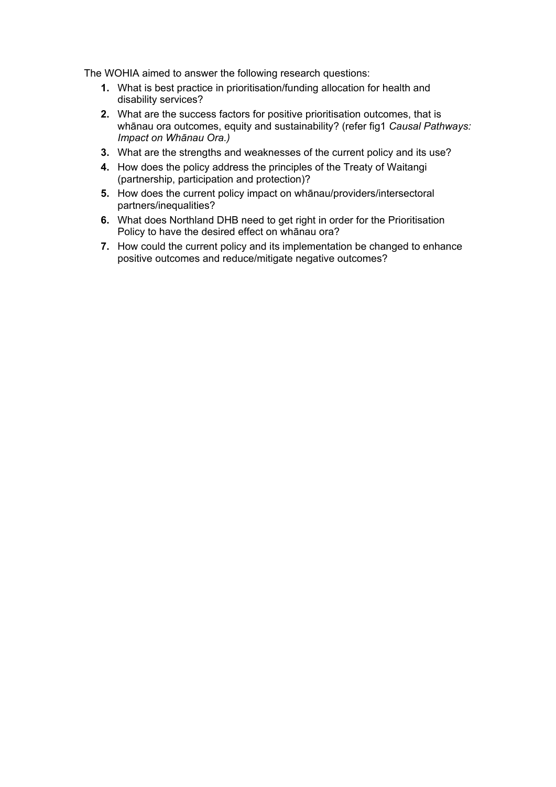The WOHIA aimed to answer the following research questions:

- **1.** What is best practice in prioritisation/funding allocation for health and disability services?
- **2.** What are the success factors for positive prioritisation outcomes, that is whānau ora outcomes, equity and sustainability? (refer fig1 *Causal Pathways: Impact on Whānau Ora.)*
- **3.** What are the strengths and weaknesses of the current policy and its use?
- **4.** How does the policy address the principles of the Treaty of Waitangi (partnership, participation and protection)?
- **5.** How does the current policy impact on whānau/providers/intersectoral partners/inequalities?
- **6.** What does Northland DHB need to get right in order for the Prioritisation Policy to have the desired effect on whānau ora?
- **7.** How could the current policy and its implementation be changed to enhance positive outcomes and reduce/mitigate negative outcomes?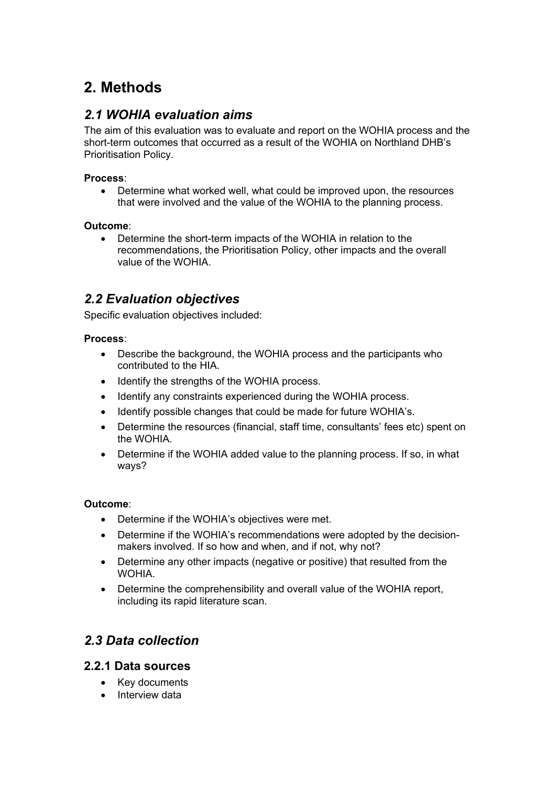# <span id="page-6-0"></span>**2. Methods**

# <span id="page-6-1"></span>*2.1 WOHIA evaluation aims*

The aim of this evaluation was to evaluate and report on the WOHIA process and the short-term outcomes that occurred as a result of the WOHIA on Northland DHB's Prioritisation Policy.

### **Process**:

 Determine what worked well, what could be improved upon, the resources that were involved and the value of the WOHIA to the planning process.

### **Outcome**:

 Determine the short-term impacts of the WOHIA in relation to the recommendations, the Prioritisation Policy, other impacts and the overall value of the WOHIA.

# <span id="page-6-2"></span>*2.2 Evaluation objectives*

Specific evaluation objectives included:

### **Process**:

- Describe the background, the WOHIA process and the participants who contributed to the HIA.
- Identify the strengths of the WOHIA process.
- Identify any constraints experienced during the WOHIA process.
- Identify possible changes that could be made for future WOHIA's.
- Determine the resources (financial, staff time, consultants' fees etc) spent on the WOHIA.
- Determine if the WOHIA added value to the planning process. If so, in what ways?

### **Outcome**:

- Determine if the WOHIA's objectives were met.
- Determine if the WOHIA's recommendations were adopted by the decisionmakers involved. If so how and when, and if not, why not?
- Determine any other impacts (negative or positive) that resulted from the WOHIA.
- Determine the comprehensibility and overall value of the WOHIA report, including its rapid literature scan.

# <span id="page-6-3"></span>*2.3 Data collection*

## <span id="page-6-4"></span>**2.2.1 Data sources**

- Key documents
- Interview data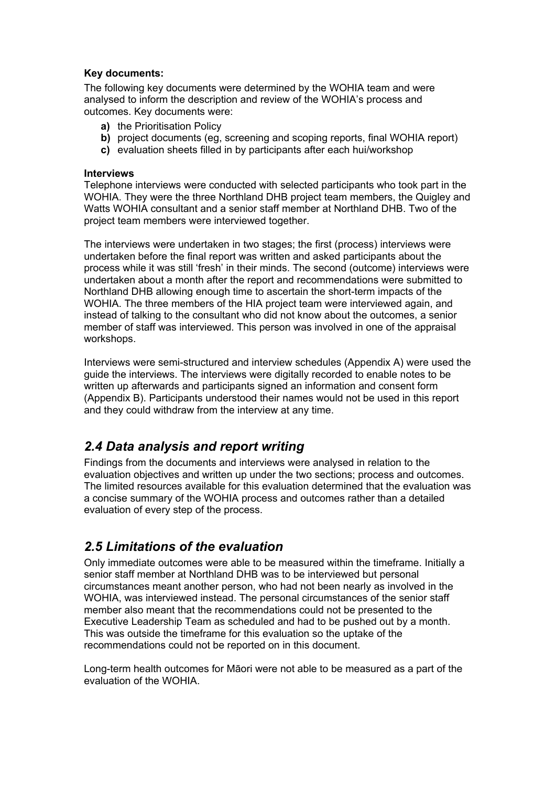#### **Key documents:**

The following key documents were determined by the WOHIA team and were analysed to inform the description and review of the WOHIA's process and outcomes. Key documents were:

- **a)** the Prioritisation Policy
- **b)** project documents (eg, screening and scoping reports, final WOHIA report)
- **c)** evaluation sheets filled in by participants after each hui/workshop

#### **Interviews**

Telephone interviews were conducted with selected participants who took part in the WOHIA. They were the three Northland DHB project team members, the Quigley and Watts WOHIA consultant and a senior staff member at Northland DHB. Two of the project team members were interviewed together.

The interviews were undertaken in two stages; the first (process) interviews were undertaken before the final report was written and asked participants about the process while it was still 'fresh' in their minds. The second (outcome) interviews were undertaken about a month after the report and recommendations were submitted to Northland DHB allowing enough time to ascertain the short-term impacts of the WOHIA. The three members of the HIA project team were interviewed again, and instead of talking to the consultant who did not know about the outcomes, a senior member of staff was interviewed. This person was involved in one of the appraisal workshops.

Interviews were semi-structured and interview schedules (Appendix A) were used the guide the interviews. The interviews were digitally recorded to enable notes to be written up afterwards and participants signed an information and consent form (Appendix B). Participants understood their names would not be used in this report and they could withdraw from the interview at any time.

# <span id="page-7-0"></span>*2.4 Data analysis and report writing*

Findings from the documents and interviews were analysed in relation to the evaluation objectives and written up under the two sections; process and outcomes. The limited resources available for this evaluation determined that the evaluation was a concise summary of the WOHIA process and outcomes rather than a detailed evaluation of every step of the process.

# <span id="page-7-1"></span>*2.5 Limitations of the evaluation*

Only immediate outcomes were able to be measured within the timeframe. Initially a senior staff member at Northland DHB was to be interviewed but personal circumstances meant another person, who had not been nearly as involved in the WOHIA, was interviewed instead. The personal circumstances of the senior staff member also meant that the recommendations could not be presented to the Executive Leadership Team as scheduled and had to be pushed out by a month. This was outside the timeframe for this evaluation so the uptake of the recommendations could not be reported on in this document.

Long-term health outcomes for Māori were not able to be measured as a part of the evaluation of the WOHIA.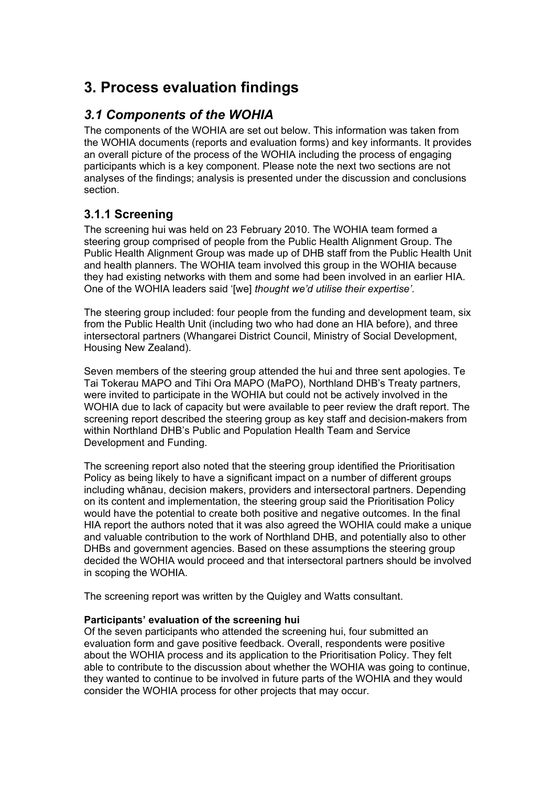# <span id="page-8-0"></span>**3. Process evaluation findings**

# <span id="page-8-1"></span>*3.1 Components of the WOHIA*

The components of the WOHIA are set out below. This information was taken from the WOHIA documents (reports and evaluation forms) and key informants. It provides an overall picture of the process of the WOHIA including the process of engaging participants which is a key component. Please note the next two sections are not analyses of the findings; analysis is presented under the discussion and conclusions section.

# <span id="page-8-2"></span>**3.1.1 Screening**

The screening hui was held on 23 February 2010. The WOHIA team formed a steering group comprised of people from the Public Health Alignment Group. The Public Health Alignment Group was made up of DHB staff from the Public Health Unit and health planners. The WOHIA team involved this group in the WOHIA because they had existing networks with them and some had been involved in an earlier HIA. One of the WOHIA leaders said '[we] *thought we'd utilise their expertise'*.

The steering group included: four people from the funding and development team, six from the Public Health Unit (including two who had done an HIA before), and three intersectoral partners (Whangarei District Council, Ministry of Social Development, Housing New Zealand).

Seven members of the steering group attended the hui and three sent apologies. Te Tai Tokerau MAPO and Tihi Ora MAPO (MaPO), Northland DHB's Treaty partners, were invited to participate in the WOHIA but could not be actively involved in the WOHIA due to lack of capacity but were available to peer review the draft report. The screening report described the steering group as key staff and decision-makers from within Northland DHB's Public and Population Health Team and Service Development and Funding.

The screening report also noted that the steering group identified the Prioritisation Policy as being likely to have a significant impact on a number of different groups including whānau, decision makers, providers and intersectoral partners. Depending on its content and implementation, the steering group said the Prioritisation Policy would have the potential to create both positive and negative outcomes. In the final HIA report the authors noted that it was also agreed the WOHIA could make a unique and valuable contribution to the work of Northland DHB, and potentially also to other DHBs and government agencies. Based on these assumptions the steering group decided the WOHIA would proceed and that intersectoral partners should be involved in scoping the WOHIA.

The screening report was written by the Quigley and Watts consultant.

### **Participants' evaluation of the screening hui**

Of the seven participants who attended the screening hui, four submitted an evaluation form and gave positive feedback. Overall, respondents were positive about the WOHIA process and its application to the Prioritisation Policy. They felt able to contribute to the discussion about whether the WOHIA was going to continue, they wanted to continue to be involved in future parts of the WOHIA and they would consider the WOHIA process for other projects that may occur.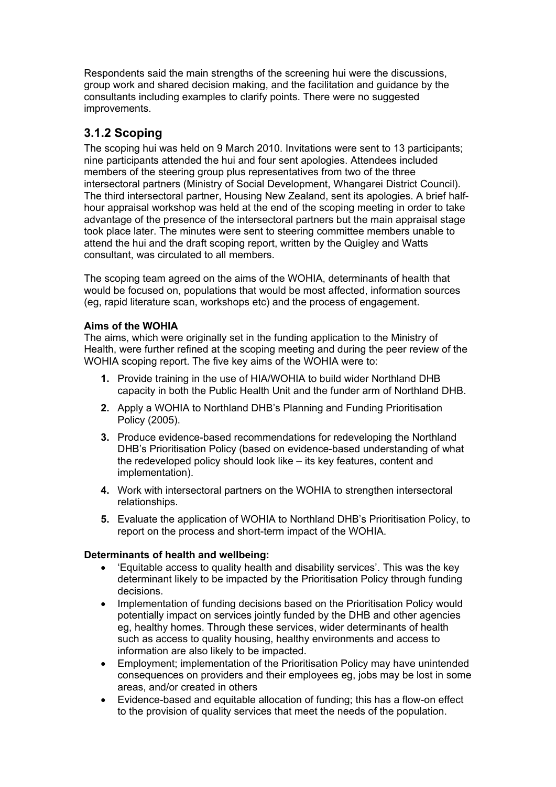Respondents said the main strengths of the screening hui were the discussions, group work and shared decision making, and the facilitation and guidance by the consultants including examples to clarify points. There were no suggested improvements.

# <span id="page-9-0"></span>**3.1.2 Scoping**

The scoping hui was held on 9 March 2010. Invitations were sent to 13 participants; nine participants attended the hui and four sent apologies. Attendees included members of the steering group plus representatives from two of the three intersectoral partners (Ministry of Social Development, Whangarei District Council). The third intersectoral partner, Housing New Zealand, sent its apologies. A brief halfhour appraisal workshop was held at the end of the scoping meeting in order to take advantage of the presence of the intersectoral partners but the main appraisal stage took place later. The minutes were sent to steering committee members unable to attend the hui and the draft scoping report, written by the Quigley and Watts consultant, was circulated to all members.

The scoping team agreed on the aims of the WOHIA, determinants of health that would be focused on, populations that would be most affected, information sources (eg, rapid literature scan, workshops etc) and the process of engagement.

### **Aims of the WOHIA**

The aims, which were originally set in the funding application to the Ministry of Health, were further refined at the scoping meeting and during the peer review of the WOHIA scoping report. The five key aims of the WOHIA were to:

- **1.** Provide training in the use of HIA/WOHIA to build wider Northland DHB capacity in both the Public Health Unit and the funder arm of Northland DHB.
- **2.** Apply a WOHIA to Northland DHB's Planning and Funding Prioritisation Policy (2005).
- **3.** Produce evidence-based recommendations for redeveloping the Northland DHB's Prioritisation Policy (based on evidence-based understanding of what the redeveloped policy should look like – its key features, content and implementation).
- **4.** Work with intersectoral partners on the WOHIA to strengthen intersectoral relationships.
- **5.** Evaluate the application of WOHIA to Northland DHB's Prioritisation Policy, to report on the process and short-term impact of the WOHIA.

### **Determinants of health and wellbeing:**

- 'Equitable access to quality health and disability services'. This was the key determinant likely to be impacted by the Prioritisation Policy through funding decisions.
- Implementation of funding decisions based on the Prioritisation Policy would potentially impact on services jointly funded by the DHB and other agencies eg, healthy homes. Through these services, wider determinants of health such as access to quality housing, healthy environments and access to information are also likely to be impacted.
- Employment; implementation of the Prioritisation Policy may have unintended consequences on providers and their employees eg, jobs may be lost in some areas, and/or created in others
- Evidence-based and equitable allocation of funding; this has a flow-on effect to the provision of quality services that meet the needs of the population.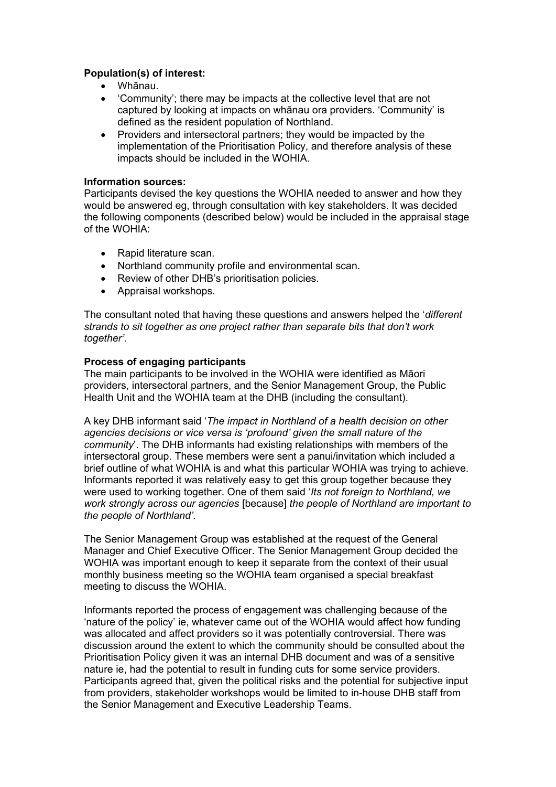#### **Population(s) of interest:**

- Whānau.
- 'Community'; there may be impacts at the collective level that are not captured by looking at impacts on whānau ora providers. 'Community' is defined as the resident population of Northland.
- Providers and intersectoral partners; they would be impacted by the implementation of the Prioritisation Policy, and therefore analysis of these impacts should be included in the WOHIA.

#### **Information sources:**

Participants devised the key questions the WOHIA needed to answer and how they would be answered eg, through consultation with key stakeholders. It was decided the following components (described below) would be included in the appraisal stage of the WOHIA:

- Rapid literature scan.
- Northland community profile and environmental scan.
- Review of other DHB's prioritisation policies.
- Appraisal workshops.

The consultant noted that having these questions and answers helped the '*different strands to sit together as one project rather than separate bits that don't work together'*.

#### **Process of engaging participants**

The main participants to be involved in the WOHIA were identified as Māori providers, intersectoral partners, and the Senior Management Group, the Public Health Unit and the WOHIA team at the DHB (including the consultant).

A key DHB informant said '*The impact in Northland of a health decision on other agencies decisions or vice versa is 'profound' given the small nature of the community*'. The DHB informants had existing relationships with members of the intersectoral group. These members were sent a panui/invitation which included a brief outline of what WOHIA is and what this particular WOHIA was trying to achieve. Informants reported it was relatively easy to get this group together because they were used to working together. One of them said '*Its not foreign to Northland, we work strongly across our agencies* [because] *the people of Northland are important to the people of Northland'*.

The Senior Management Group was established at the request of the General Manager and Chief Executive Officer. The Senior Management Group decided the WOHIA was important enough to keep it separate from the context of their usual monthly business meeting so the WOHIA team organised a special breakfast meeting to discuss the WOHIA.

Informants reported the process of engagement was challenging because of the 'nature of the policy' ie, whatever came out of the WOHIA would affect how funding was allocated and affect providers so it was potentially controversial. There was discussion around the extent to which the community should be consulted about the Prioritisation Policy given it was an internal DHB document and was of a sensitive nature ie, had the potential to result in funding cuts for some service providers. Participants agreed that, given the political risks and the potential for subjective input from providers, stakeholder workshops would be limited to in-house DHB staff from the Senior Management and Executive Leadership Teams.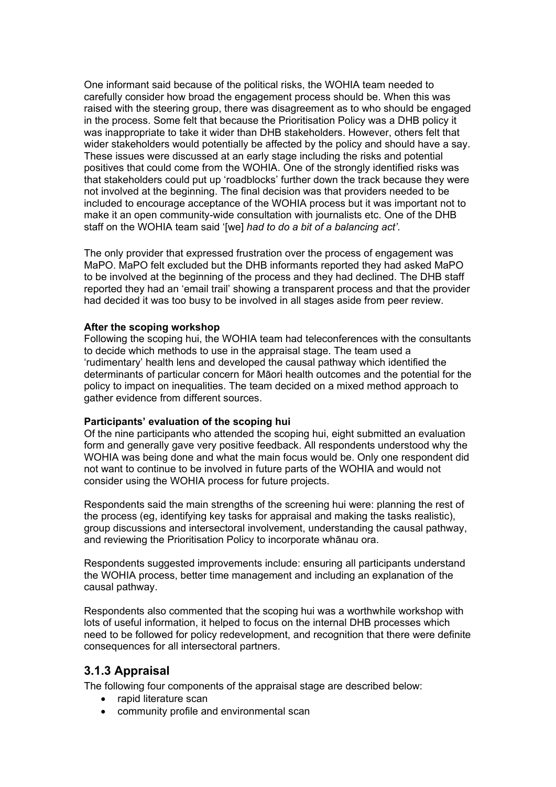One informant said because of the political risks, the WOHIA team needed to carefully consider how broad the engagement process should be. When this was raised with the steering group, there was disagreement as to who should be engaged in the process. Some felt that because the Prioritisation Policy was a DHB policy it was inappropriate to take it wider than DHB stakeholders. However, others felt that wider stakeholders would potentially be affected by the policy and should have a say. These issues were discussed at an early stage including the risks and potential positives that could come from the WOHIA. One of the strongly identified risks was that stakeholders could put up 'roadblocks' further down the track because they were not involved at the beginning. The final decision was that providers needed to be included to encourage acceptance of the WOHIA process but it was important not to make it an open community-wide consultation with journalists etc. One of the DHB staff on the WOHIA team said '[we] *had to do a bit of a balancing act'*.

The only provider that expressed frustration over the process of engagement was MaPO. MaPO felt excluded but the DHB informants reported they had asked MaPO to be involved at the beginning of the process and they had declined. The DHB staff reported they had an 'email trail' showing a transparent process and that the provider had decided it was too busy to be involved in all stages aside from peer review.

#### **After the scoping workshop**

Following the scoping hui, the WOHIA team had teleconferences with the consultants to decide which methods to use in the appraisal stage. The team used a 'rudimentary' health lens and developed the causal pathway which identified the determinants of particular concern for Māori health outcomes and the potential for the policy to impact on inequalities. The team decided on a mixed method approach to gather evidence from different sources.

#### **Participants' evaluation of the scoping hui**

Of the nine participants who attended the scoping hui, eight submitted an evaluation form and generally gave very positive feedback. All respondents understood why the WOHIA was being done and what the main focus would be. Only one respondent did not want to continue to be involved in future parts of the WOHIA and would not consider using the WOHIA process for future projects.

Respondents said the main strengths of the screening hui were: planning the rest of the process (eg, identifying key tasks for appraisal and making the tasks realistic), group discussions and intersectoral involvement, understanding the causal pathway, and reviewing the Prioritisation Policy to incorporate whānau ora.

Respondents suggested improvements include: ensuring all participants understand the WOHIA process, better time management and including an explanation of the causal pathway.

Respondents also commented that the scoping hui was a worthwhile workshop with lots of useful information, it helped to focus on the internal DHB processes which need to be followed for policy redevelopment, and recognition that there were definite consequences for all intersectoral partners.

### <span id="page-11-0"></span>**3.1.3 Appraisal**

The following four components of the appraisal stage are described below:

- rapid literature scan
- community profile and environmental scan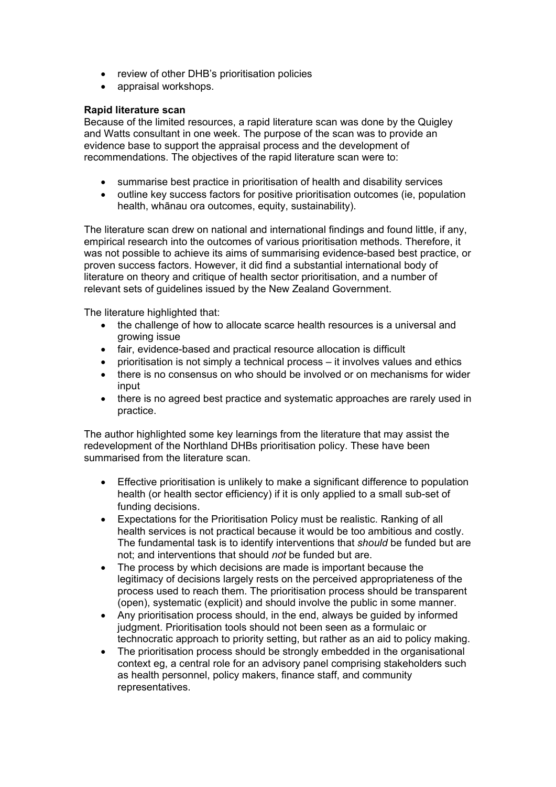- review of other DHB's prioritisation policies
- appraisal workshops.

### **Rapid literature scan**

Because of the limited resources, a rapid literature scan was done by the Quigley and Watts consultant in one week. The purpose of the scan was to provide an evidence base to support the appraisal process and the development of recommendations. The objectives of the rapid literature scan were to:

- summarise best practice in prioritisation of health and disability services
- outline key success factors for positive prioritisation outcomes (ie, population health, whānau ora outcomes, equity, sustainability).

The literature scan drew on national and international findings and found little, if any, empirical research into the outcomes of various prioritisation methods. Therefore, it was not possible to achieve its aims of summarising evidence-based best practice, or proven success factors. However, it did find a substantial international body of literature on theory and critique of health sector prioritisation, and a number of relevant sets of guidelines issued by the New Zealand Government.

The literature highlighted that:

- the challenge of how to allocate scarce health resources is a universal and growing issue
- fair, evidence-based and practical resource allocation is difficult
- prioritisation is not simply a technical process it involves values and ethics
- there is no consensus on who should be involved or on mechanisms for wider input
- there is no agreed best practice and systematic approaches are rarely used in practice.

The author highlighted some key learnings from the literature that may assist the redevelopment of the Northland DHBs prioritisation policy. These have been summarised from the literature scan.

- Effective prioritisation is unlikely to make a significant difference to population health (or health sector efficiency) if it is only applied to a small sub-set of funding decisions.
- Expectations for the Prioritisation Policy must be realistic. Ranking of all health services is not practical because it would be too ambitious and costly. The fundamental task is to identify interventions that *should* be funded but are not; and interventions that should *not* be funded but are.
- The process by which decisions are made is important because the legitimacy of decisions largely rests on the perceived appropriateness of the process used to reach them. The prioritisation process should be transparent (open), systematic (explicit) and should involve the public in some manner.
- Any prioritisation process should, in the end, always be guided by informed judgment. Prioritisation tools should not been seen as a formulaic or technocratic approach to priority setting, but rather as an aid to policy making.
- The prioritisation process should be strongly embedded in the organisational context eg, a central role for an advisory panel comprising stakeholders such as health personnel, policy makers, finance staff, and community representatives.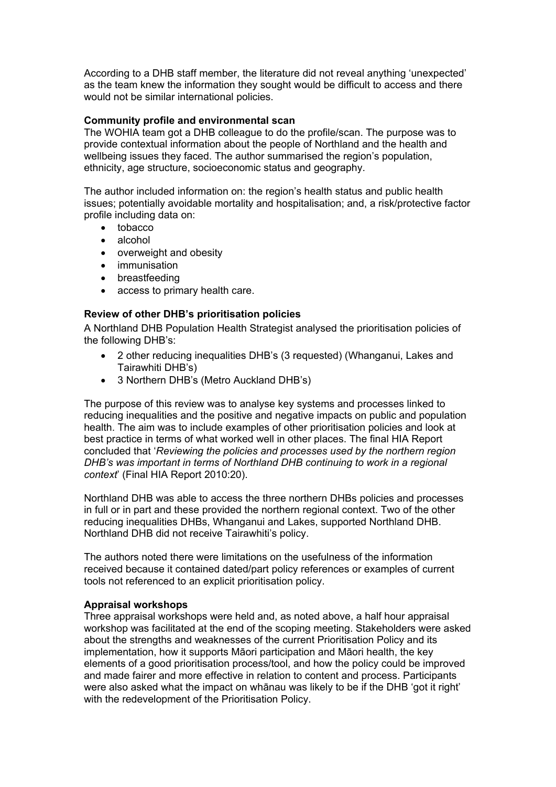According to a DHB staff member, the literature did not reveal anything 'unexpected' as the team knew the information they sought would be difficult to access and there would not be similar international policies.

#### **Community profile and environmental scan**

The WOHIA team got a DHB colleague to do the profile/scan. The purpose was to provide contextual information about the people of Northland and the health and wellbeing issues they faced. The author summarised the region's population, ethnicity, age structure, socioeconomic status and geography.

The author included information on: the region's health status and public health issues; potentially avoidable mortality and hospitalisation; and, a risk/protective factor profile including data on:

- tobacco
- alcohol
- overweight and obesity
- immunisation
- breastfeeding
- access to primary health care.

### **Review of other DHB's prioritisation policies**

A Northland DHB Population Health Strategist analysed the prioritisation policies of the following DHB's:

- 2 other reducing inequalities DHB's (3 requested) (Whanganui, Lakes and Tairawhiti DHB's)
- 3 Northern DHB's (Metro Auckland DHB's)

The purpose of this review was to analyse key systems and processes linked to reducing inequalities and the positive and negative impacts on public and population health. The aim was to include examples of other prioritisation policies and look at best practice in terms of what worked well in other places. The final HIA Report concluded that '*Reviewing the policies and processes used by the northern region DHB's was important in terms of Northland DHB continuing to work in a regional context*' (Final HIA Report 2010:20).

Northland DHB was able to access the three northern DHBs policies and processes in full or in part and these provided the northern regional context. Two of the other reducing inequalities DHBs, Whanganui and Lakes, supported Northland DHB. Northland DHB did not receive Tairawhiti's policy.

The authors noted there were limitations on the usefulness of the information received because it contained dated/part policy references or examples of current tools not referenced to an explicit prioritisation policy.

#### **Appraisal workshops**

Three appraisal workshops were held and, as noted above, a half hour appraisal workshop was facilitated at the end of the scoping meeting. Stakeholders were asked about the strengths and weaknesses of the current Prioritisation Policy and its implementation, how it supports Māori participation and Māori health, the key elements of a good prioritisation process/tool, and how the policy could be improved and made fairer and more effective in relation to content and process. Participants were also asked what the impact on whānau was likely to be if the DHB 'got it right' with the redevelopment of the Prioritisation Policy.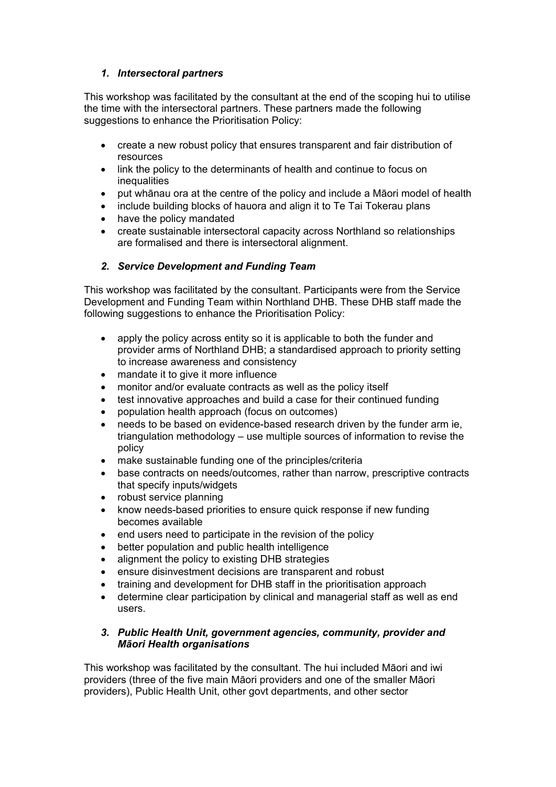### *1. Intersectoral partners*

This workshop was facilitated by the consultant at the end of the scoping hui to utilise the time with the intersectoral partners. These partners made the following suggestions to enhance the Prioritisation Policy:

- create a new robust policy that ensures transparent and fair distribution of resources
- link the policy to the determinants of health and continue to focus on inequalities
- put whānau ora at the centre of the policy and include a Māori model of health
- include building blocks of hauora and align it to Te Tai Tokerau plans
- have the policy mandated
- create sustainable intersectoral capacity across Northland so relationships are formalised and there is intersectoral alignment.

### *2. Service Development and Funding Team*

This workshop was facilitated by the consultant. Participants were from the Service Development and Funding Team within Northland DHB. These DHB staff made the following suggestions to enhance the Prioritisation Policy:

- apply the policy across entity so it is applicable to both the funder and provider arms of Northland DHB; a standardised approach to priority setting to increase awareness and consistency
- mandate it to give it more influence
- monitor and/or evaluate contracts as well as the policy itself
- test innovative approaches and build a case for their continued funding
- population health approach (focus on outcomes)
- needs to be based on evidence-based research driven by the funder arm ie, triangulation methodology – use multiple sources of information to revise the policy
- make sustainable funding one of the principles/criteria
- base contracts on needs/outcomes, rather than narrow, prescriptive contracts that specify inputs/widgets
- robust service planning
- know needs-based priorities to ensure quick response if new funding becomes available
- end users need to participate in the revision of the policy
- better population and public health intelligence
- alignment the policy to existing DHB strategies
- ensure disinvestment decisions are transparent and robust
- training and development for DHB staff in the prioritisation approach
- determine clear participation by clinical and managerial staff as well as end users.

#### *3. Public Health Unit, government agencies, community, provider and Māori Health organisations*

This workshop was facilitated by the consultant. The hui included Māori and iwi providers (three of the five main Māori providers and one of the smaller Māori providers), Public Health Unit, other govt departments, and other sector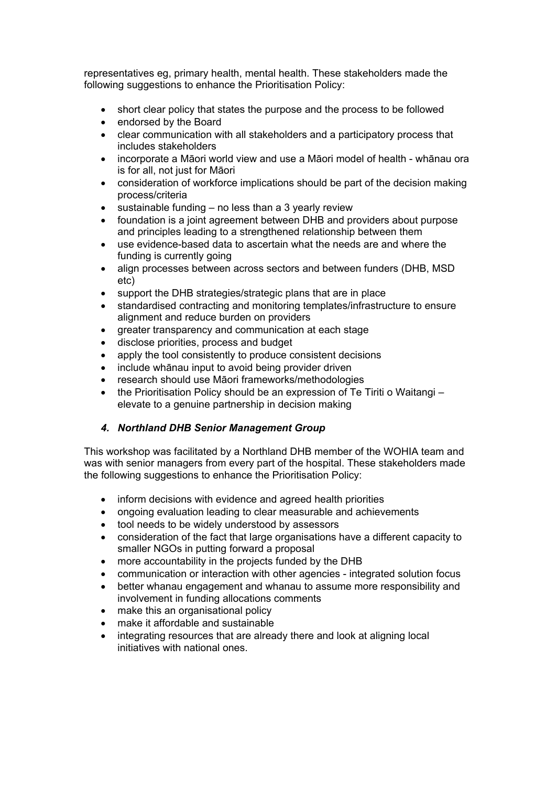representatives eg, primary health, mental health. These stakeholders made the following suggestions to enhance the Prioritisation Policy:

- short clear policy that states the purpose and the process to be followed
- endorsed by the Board
- clear communication with all stakeholders and a participatory process that includes stakeholders
- incorporate a Māori world view and use a Māori model of health whānau ora is for all, not just for Māori
- consideration of workforce implications should be part of the decision making process/criteria
- $\bullet$  sustainable funding no less than a 3 yearly review
- foundation is a joint agreement between DHB and providers about purpose and principles leading to a strengthened relationship between them
- use evidence-based data to ascertain what the needs are and where the funding is currently going
- align processes between across sectors and between funders (DHB, MSD) etc)
- support the DHB strategies/strategic plans that are in place
- standardised contracting and monitoring templates/infrastructure to ensure alignment and reduce burden on providers
- greater transparency and communication at each stage
- disclose priorities, process and budget
- apply the tool consistently to produce consistent decisions
- include whānau input to avoid being provider driven
- research should use Māori frameworks/methodologies
- the Prioritisation Policy should be an expression of Te Tiriti o Waitangi elevate to a genuine partnership in decision making

### *4. Northland DHB Senior Management Group*

This workshop was facilitated by a Northland DHB member of the WOHIA team and was with senior managers from every part of the hospital. These stakeholders made the following suggestions to enhance the Prioritisation Policy:

- inform decisions with evidence and agreed health priorities
- ongoing evaluation leading to clear measurable and achievements
- tool needs to be widely understood by assessors
- consideration of the fact that large organisations have a different capacity to smaller NGOs in putting forward a proposal
- more accountability in the projects funded by the DHB
- communication or interaction with other agencies integrated solution focus
- better whanau engagement and whanau to assume more responsibility and involvement in funding allocations comments
- make this an organisational policy
- make it affordable and sustainable
- integrating resources that are already there and look at aligning local initiatives with national ones.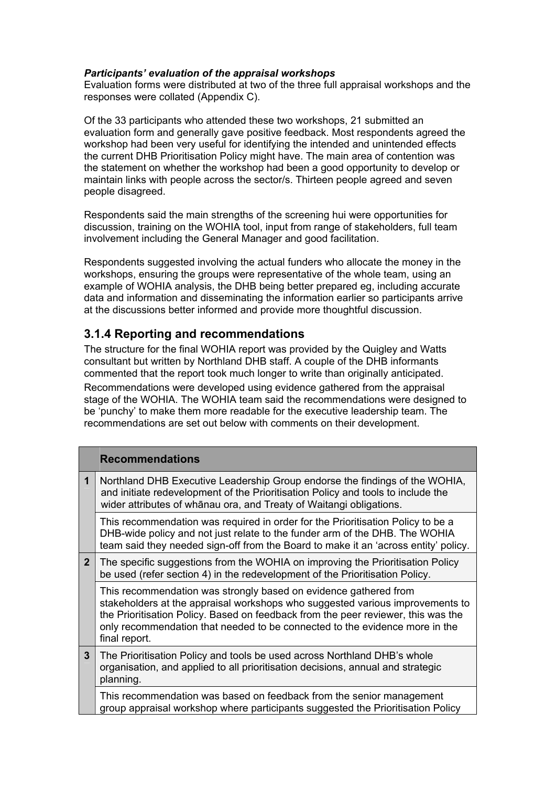#### *Participants' evaluation of the appraisal workshops*

Evaluation forms were distributed at two of the three full appraisal workshops and the responses were collated (Appendix C).

Of the 33 participants who attended these two workshops, 21 submitted an evaluation form and generally gave positive feedback. Most respondents agreed the workshop had been very useful for identifying the intended and unintended effects the current DHB Prioritisation Policy might have. The main area of contention was the statement on whether the workshop had been a good opportunity to develop or maintain links with people across the sector/s. Thirteen people agreed and seven people disagreed.

Respondents said the main strengths of the screening hui were opportunities for discussion, training on the WOHIA tool, input from range of stakeholders, full team involvement including the General Manager and good facilitation.

Respondents suggested involving the actual funders who allocate the money in the workshops, ensuring the groups were representative of the whole team, using an example of WOHIA analysis, the DHB being better prepared eg, including accurate data and information and disseminating the information earlier so participants arrive at the discussions better informed and provide more thoughtful discussion.

### <span id="page-16-0"></span>**3.1.4 Reporting and recommendations**

The structure for the final WOHIA report was provided by the Quigley and Watts consultant but written by Northland DHB staff. A couple of the DHB informants commented that the report took much longer to write than originally anticipated. Recommendations were developed using evidence gathered from the appraisal stage of the WOHIA. The WOHIA team said the recommendations were designed to be 'punchy' to make them more readable for the executive leadership team. The recommendations are set out below with comments on their development.

|                | <b>Recommendations</b>                                                                                                                                                                                                                                                                                                                 |
|----------------|----------------------------------------------------------------------------------------------------------------------------------------------------------------------------------------------------------------------------------------------------------------------------------------------------------------------------------------|
| 1              | Northland DHB Executive Leadership Group endorse the findings of the WOHIA,<br>and initiate redevelopment of the Prioritisation Policy and tools to include the<br>wider attributes of whanau ora, and Treaty of Waitangi obligations.                                                                                                 |
|                | This recommendation was required in order for the Prioritisation Policy to be a<br>DHB-wide policy and not just relate to the funder arm of the DHB. The WOHIA<br>team said they needed sign-off from the Board to make it an 'across entity' policy.                                                                                  |
| 2 <sup>1</sup> | The specific suggestions from the WOHIA on improving the Prioritisation Policy<br>be used (refer section 4) in the redevelopment of the Prioritisation Policy.                                                                                                                                                                         |
|                | This recommendation was strongly based on evidence gathered from<br>stakeholders at the appraisal workshops who suggested various improvements to<br>the Prioritisation Policy. Based on feedback from the peer reviewer, this was the<br>only recommendation that needed to be connected to the evidence more in the<br>final report. |
| 3 <sup>5</sup> | The Prioritisation Policy and tools be used across Northland DHB's whole<br>organisation, and applied to all prioritisation decisions, annual and strategic<br>planning.                                                                                                                                                               |
|                | This recommendation was based on feedback from the senior management<br>group appraisal workshop where participants suggested the Prioritisation Policy                                                                                                                                                                                |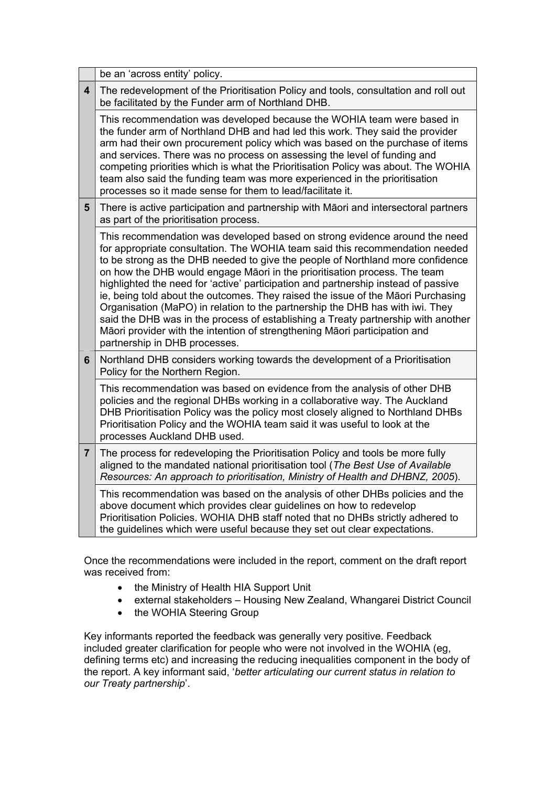|                         | be an 'across entity' policy.                                                                                                                                                                                                                                                                                                                                                                                                                                                                                                                                                                                                                                                                                                                                                            |
|-------------------------|------------------------------------------------------------------------------------------------------------------------------------------------------------------------------------------------------------------------------------------------------------------------------------------------------------------------------------------------------------------------------------------------------------------------------------------------------------------------------------------------------------------------------------------------------------------------------------------------------------------------------------------------------------------------------------------------------------------------------------------------------------------------------------------|
| $\overline{\mathbf{4}}$ | The redevelopment of the Prioritisation Policy and tools, consultation and roll out<br>be facilitated by the Funder arm of Northland DHB.                                                                                                                                                                                                                                                                                                                                                                                                                                                                                                                                                                                                                                                |
|                         | This recommendation was developed because the WOHIA team were based in<br>the funder arm of Northland DHB and had led this work. They said the provider<br>arm had their own procurement policy which was based on the purchase of items<br>and services. There was no process on assessing the level of funding and<br>competing priorities which is what the Prioritisation Policy was about. The WOHIA<br>team also said the funding team was more experienced in the prioritisation<br>processes so it made sense for them to lead/facilitate it.                                                                                                                                                                                                                                    |
| $5\phantom{1}$          | There is active participation and partnership with Māori and intersectoral partners<br>as part of the prioritisation process.                                                                                                                                                                                                                                                                                                                                                                                                                                                                                                                                                                                                                                                            |
|                         | This recommendation was developed based on strong evidence around the need<br>for appropriate consultation. The WOHIA team said this recommendation needed<br>to be strong as the DHB needed to give the people of Northland more confidence<br>on how the DHB would engage Māori in the prioritisation process. The team<br>highlighted the need for 'active' participation and partnership instead of passive<br>ie, being told about the outcomes. They raised the issue of the Māori Purchasing<br>Organisation (MaPO) in relation to the partnership the DHB has with iwi. They<br>said the DHB was in the process of establishing a Treaty partnership with another<br>Māori provider with the intention of strengthening Māori participation and<br>partnership in DHB processes. |
| 6                       | Northland DHB considers working towards the development of a Prioritisation<br>Policy for the Northern Region.                                                                                                                                                                                                                                                                                                                                                                                                                                                                                                                                                                                                                                                                           |
|                         | This recommendation was based on evidence from the analysis of other DHB<br>policies and the regional DHBs working in a collaborative way. The Auckland<br>DHB Prioritisation Policy was the policy most closely aligned to Northland DHBs<br>Prioritisation Policy and the WOHIA team said it was useful to look at the<br>processes Auckland DHB used.                                                                                                                                                                                                                                                                                                                                                                                                                                 |
| $\overline{7}$          | The process for redeveloping the Prioritisation Policy and tools be more fully<br>aligned to the mandated national prioritisation tool (The Best Use of Available<br>Resources: An approach to prioritisation, Ministry of Health and DHBNZ, 2005).                                                                                                                                                                                                                                                                                                                                                                                                                                                                                                                                      |
|                         | This recommendation was based on the analysis of other DHBs policies and the<br>above document which provides clear guidelines on how to redevelop<br>Prioritisation Policies. WOHIA DHB staff noted that no DHBs strictly adhered to<br>the guidelines which were useful because they set out clear expectations.                                                                                                                                                                                                                                                                                                                                                                                                                                                                       |

Once the recommendations were included in the report, comment on the draft report was received from:

- the Ministry of Health HIA Support Unit
- external stakeholders Housing New Zealand, Whangarei District Council
- the WOHIA Steering Group

Key informants reported the feedback was generally very positive. Feedback included greater clarification for people who were not involved in the WOHIA (eg, defining terms etc) and increasing the reducing inequalities component in the body of the report. A key informant said, '*better articulating our current status in relation to our Treaty partnership*'.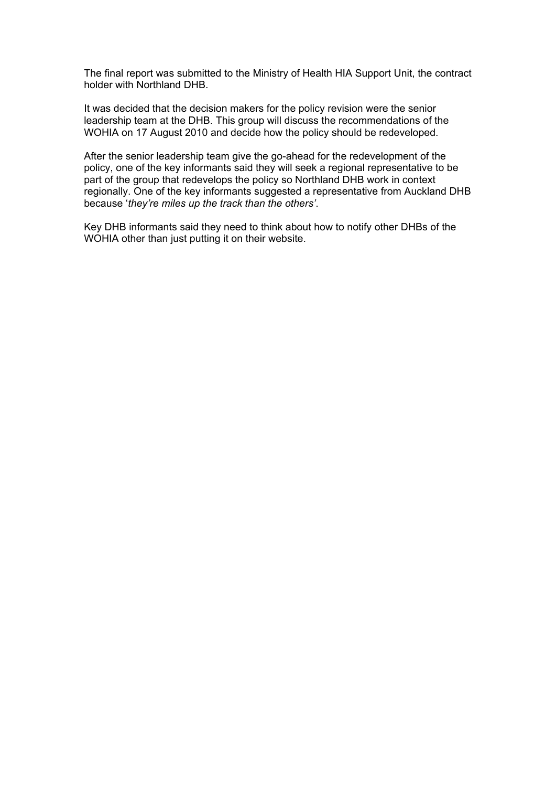The final report was submitted to the Ministry of Health HIA Support Unit, the contract holder with Northland DHB.

It was decided that the decision makers for the policy revision were the senior leadership team at the DHB. This group will discuss the recommendations of the WOHIA on 17 August 2010 and decide how the policy should be redeveloped.

After the senior leadership team give the go-ahead for the redevelopment of the policy, one of the key informants said they will seek a regional representative to be part of the group that redevelops the policy so Northland DHB work in context regionally. One of the key informants suggested a representative from Auckland DHB because '*they're miles up the track than the others'*.

Key DHB informants said they need to think about how to notify other DHBs of the WOHIA other than just putting it on their website.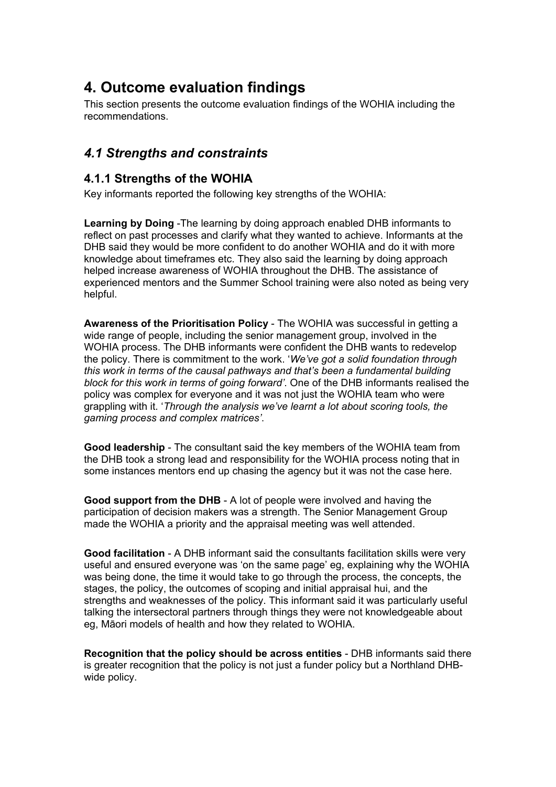# <span id="page-19-0"></span>**4. Outcome evaluation findings**

This section presents the outcome evaluation findings of the WOHIA including the recommendations.

# <span id="page-19-1"></span>*4.1 Strengths and constraints*

## <span id="page-19-2"></span>**4.1.1 Strengths of the WOHIA**

Key informants reported the following key strengths of the WOHIA:

**Learning by Doing** -The learning by doing approach enabled DHB informants to reflect on past processes and clarify what they wanted to achieve. Informants at the DHB said they would be more confident to do another WOHIA and do it with more knowledge about timeframes etc. They also said the learning by doing approach helped increase awareness of WOHIA throughout the DHB. The assistance of experienced mentors and the Summer School training were also noted as being very helpful.

**Awareness of the Prioritisation Policy** - The WOHIA was successful in getting a wide range of people, including the senior management group, involved in the WOHIA process. The DHB informants were confident the DHB wants to redevelop the policy. There is commitment to the work. '*We've got a solid foundation through this work in terms of the causal pathways and that's been a fundamental building block for this work in terms of going forward'*. One of the DHB informants realised the policy was complex for everyone and it was not just the WOHIA team who were grappling with it. '*Through the analysis we've learnt a lot about scoring tools, the gaming process and complex matrices'*.

**Good leadership** - The consultant said the key members of the WOHIA team from the DHB took a strong lead and responsibility for the WOHIA process noting that in some instances mentors end up chasing the agency but it was not the case here.

**Good support from the DHB** - A lot of people were involved and having the participation of decision makers was a strength. The Senior Management Group made the WOHIA a priority and the appraisal meeting was well attended.

**Good facilitation** - A DHB informant said the consultants facilitation skills were very useful and ensured everyone was 'on the same page' eg, explaining why the WOHIA was being done, the time it would take to go through the process, the concepts, the stages, the policy, the outcomes of scoping and initial appraisal hui, and the strengths and weaknesses of the policy. This informant said it was particularly useful talking the intersectoral partners through things they were not knowledgeable about eg, Māori models of health and how they related to WOHIA.

**Recognition that the policy should be across entities** - DHB informants said there is greater recognition that the policy is not just a funder policy but a Northland DHBwide policy.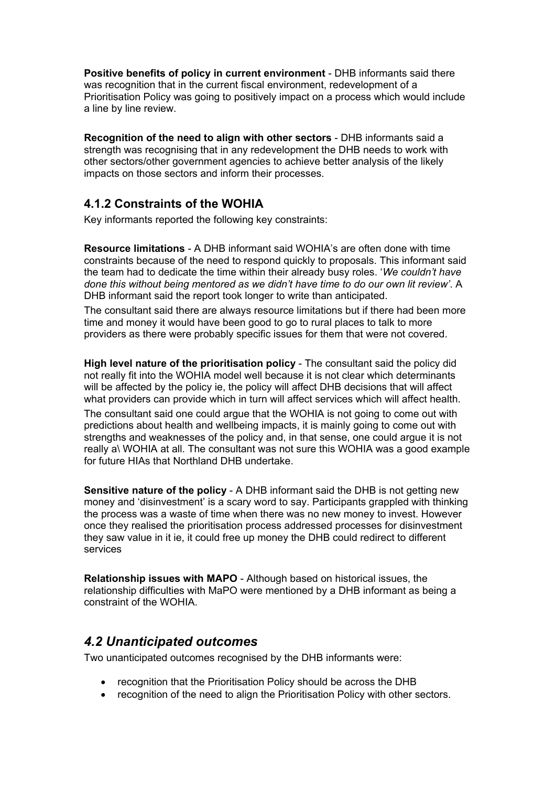**Positive benefits of policy in current environment** - DHB informants said there was recognition that in the current fiscal environment, redevelopment of a Prioritisation Policy was going to positively impact on a process which would include a line by line review.

**Recognition of the need to align with other sectors** - DHB informants said a strength was recognising that in any redevelopment the DHB needs to work with other sectors/other government agencies to achieve better analysis of the likely impacts on those sectors and inform their processes.

## <span id="page-20-0"></span>**4.1.2 Constraints of the WOHIA**

Key informants reported the following key constraints:

**Resource limitations** - A DHB informant said WOHIA's are often done with time constraints because of the need to respond quickly to proposals. This informant said the team had to dedicate the time within their already busy roles. '*We couldn't have done this without being mentored as we didn't have time to do our own lit review'*. A DHB informant said the report took longer to write than anticipated.

The consultant said there are always resource limitations but if there had been more time and money it would have been good to go to rural places to talk to more providers as there were probably specific issues for them that were not covered.

**High level nature of the prioritisation policy** - The consultant said the policy did not really fit into the WOHIA model well because it is not clear which determinants will be affected by the policy ie, the policy will affect DHB decisions that will affect what providers can provide which in turn will affect services which will affect health.

The consultant said one could argue that the WOHIA is not going to come out with predictions about health and wellbeing impacts, it is mainly going to come out with strengths and weaknesses of the policy and, in that sense, one could argue it is not really a\ WOHIA at all. The consultant was not sure this WOHIA was a good example for future HIAs that Northland DHB undertake.

**Sensitive nature of the policy - A DHB informant said the DHB is not getting new** money and 'disinvestment' is a scary word to say. Participants grappled with thinking the process was a waste of time when there was no new money to invest. However once they realised the prioritisation process addressed processes for disinvestment they saw value in it ie, it could free up money the DHB could redirect to different services

**Relationship issues with MAPO** - Although based on historical issues, the relationship difficulties with MaPO were mentioned by a DHB informant as being a constraint of the WOHIA.

# <span id="page-20-1"></span>*4.2 Unanticipated outcomes*

Two unanticipated outcomes recognised by the DHB informants were:

- recognition that the Prioritisation Policy should be across the DHB
- recognition of the need to align the Prioritisation Policy with other sectors.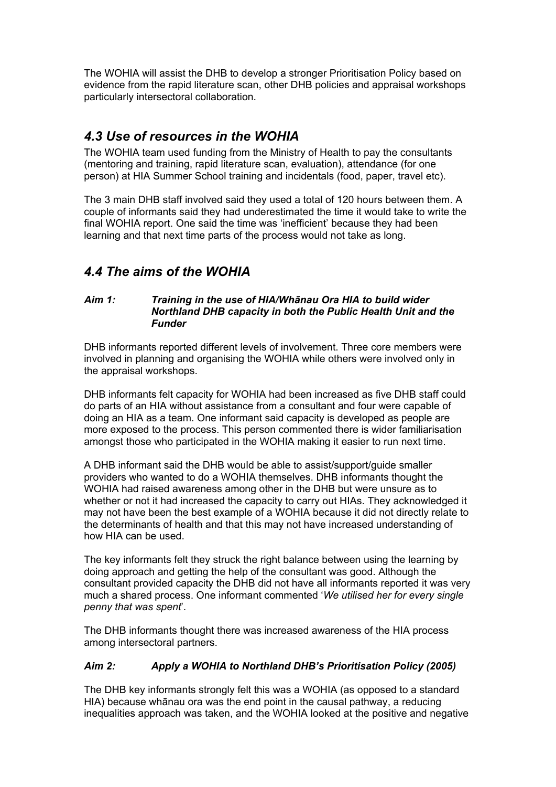The WOHIA will assist the DHB to develop a stronger Prioritisation Policy based on evidence from the rapid literature scan, other DHB policies and appraisal workshops particularly intersectoral collaboration.

# <span id="page-21-0"></span>*4.3 Use of resources in the WOHIA*

The WOHIA team used funding from the Ministry of Health to pay the consultants (mentoring and training, rapid literature scan, evaluation), attendance (for one person) at HIA Summer School training and incidentals (food, paper, travel etc).

The 3 main DHB staff involved said they used a total of 120 hours between them. A couple of informants said they had underestimated the time it would take to write the final WOHIA report. One said the time was 'inefficient' because they had been learning and that next time parts of the process would not take as long.

# <span id="page-21-1"></span>*4.4 The aims of the WOHIA*

#### *Aim 1: Training in the use of HIA/Whānau Ora HIA to build wider Northland DHB capacity in both the Public Health Unit and the Funder*

DHB informants reported different levels of involvement. Three core members were involved in planning and organising the WOHIA while others were involved only in the appraisal workshops.

DHB informants felt capacity for WOHIA had been increased as five DHB staff could do parts of an HIA without assistance from a consultant and four were capable of doing an HIA as a team. One informant said capacity is developed as people are more exposed to the process. This person commented there is wider familiarisation amongst those who participated in the WOHIA making it easier to run next time.

A DHB informant said the DHB would be able to assist/support/guide smaller providers who wanted to do a WOHIA themselves. DHB informants thought the WOHIA had raised awareness among other in the DHB but were unsure as to whether or not it had increased the capacity to carry out HIAs. They acknowledged it may not have been the best example of a WOHIA because it did not directly relate to the determinants of health and that this may not have increased understanding of how HIA can be used.

The key informants felt they struck the right balance between using the learning by doing approach and getting the help of the consultant was good. Although the consultant provided capacity the DHB did not have all informants reported it was very much a shared process. One informant commented '*We utilised her for every single penny that was spent*'.

The DHB informants thought there was increased awareness of the HIA process among intersectoral partners.

### *Aim 2: Apply a WOHIA to Northland DHB's Prioritisation Policy (2005)*

The DHB key informants strongly felt this was a WOHIA (as opposed to a standard HIA) because whānau ora was the end point in the causal pathway, a reducing inequalities approach was taken, and the WOHIA looked at the positive and negative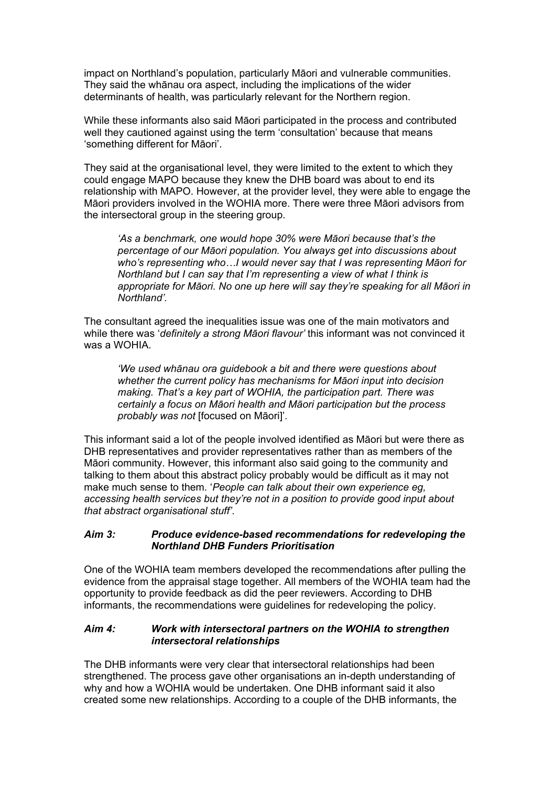impact on Northland's population, particularly Māori and vulnerable communities. They said the whānau ora aspect, including the implications of the wider determinants of health, was particularly relevant for the Northern region.

While these informants also said Māori participated in the process and contributed well they cautioned against using the term 'consultation' because that means 'something different for Māori'.

They said at the organisational level, they were limited to the extent to which they could engage MAPO because they knew the DHB board was about to end its relationship with MAPO. However, at the provider level, they were able to engage the Māori providers involved in the WOHIA more. There were three Māori advisors from the intersectoral group in the steering group.

*'As a benchmark, one would hope 30% were Māori because that's the percentage of our Māori population. You always get into discussions about who's representing who…I would never say that I was representing Māori for Northland but I can say that I'm representing a view of what I think is appropriate for Māori. No one up here will say they're speaking for all Māori in Northland'.* 

The consultant agreed the inequalities issue was one of the main motivators and while there was '*definitely a strong Māori flavour'* this informant was not convinced it was a WOHIA.

*'We used whānau ora guidebook a bit and there were questions about whether the current policy has mechanisms for Māori input into decision making. That's a key part of WOHIA, the participation part. There was certainly a focus on Māori health and Māori participation but the process probably was not* [focused on Māori]'*.* 

This informant said a lot of the people involved identified as Māori but were there as DHB representatives and provider representatives rather than as members of the Māori community. However, this informant also said going to the community and talking to them about this abstract policy probably would be difficult as it may not make much sense to them. '*People can talk about their own experience eg, accessing health services but they're not in a position to provide good input about that abstract organisational stuff'*.

#### *Aim 3: Produce evidence-based recommendations for redeveloping the Northland DHB Funders Prioritisation*

One of the WOHIA team members developed the recommendations after pulling the evidence from the appraisal stage together. All members of the WOHIA team had the opportunity to provide feedback as did the peer reviewers. According to DHB informants, the recommendations were guidelines for redeveloping the policy.

#### *Aim 4:**Work with intersectoral partners on the WOHIA to strengthen intersectoral relationships*

The DHB informants were very clear that intersectoral relationships had been strengthened. The process gave other organisations an in-depth understanding of why and how a WOHIA would be undertaken. One DHB informant said it also created some new relationships. According to a couple of the DHB informants, the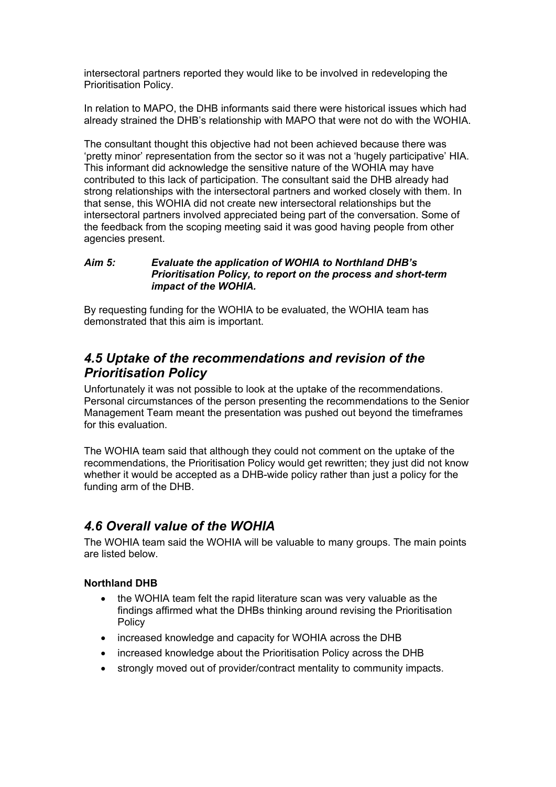intersectoral partners reported they would like to be involved in redeveloping the Prioritisation Policy.

In relation to MAPO, the DHB informants said there were historical issues which had already strained the DHB's relationship with MAPO that were not do with the WOHIA.

The consultant thought this objective had not been achieved because there was 'pretty minor' representation from the sector so it was not a 'hugely participative' HIA. This informant did acknowledge the sensitive nature of the WOHIA may have contributed to this lack of participation. The consultant said the DHB already had strong relationships with the intersectoral partners and worked closely with them. In that sense, this WOHIA did not create new intersectoral relationships but the intersectoral partners involved appreciated being part of the conversation. Some of the feedback from the scoping meeting said it was good having people from other agencies present.

#### *Aim 5: Evaluate the application of WOHIA to Northland DHB's Prioritisation Policy, to report on the process and short-term impact of the WOHIA.*

By requesting funding for the WOHIA to be evaluated, the WOHIA team has demonstrated that this aim is important.

# <span id="page-23-0"></span>*4.5 Uptake of the recommendations and revision of the Prioritisation Policy*

Unfortunately it was not possible to look at the uptake of the recommendations. Personal circumstances of the person presenting the recommendations to the Senior Management Team meant the presentation was pushed out beyond the timeframes for this evaluation.

The WOHIA team said that although they could not comment on the uptake of the recommendations, the Prioritisation Policy would get rewritten; they just did not know whether it would be accepted as a DHB-wide policy rather than just a policy for the funding arm of the DHB.

# <span id="page-23-1"></span>*4.6 Overall value of the WOHIA*

The WOHIA team said the WOHIA will be valuable to many groups. The main points are listed below.

#### **Northland DHB**

- the WOHIA team felt the rapid literature scan was very valuable as the findings affirmed what the DHBs thinking around revising the Prioritisation Policy
- increased knowledge and capacity for WOHIA across the DHB
- increased knowledge about the Prioritisation Policy across the DHB
- strongly moved out of provider/contract mentality to community impacts.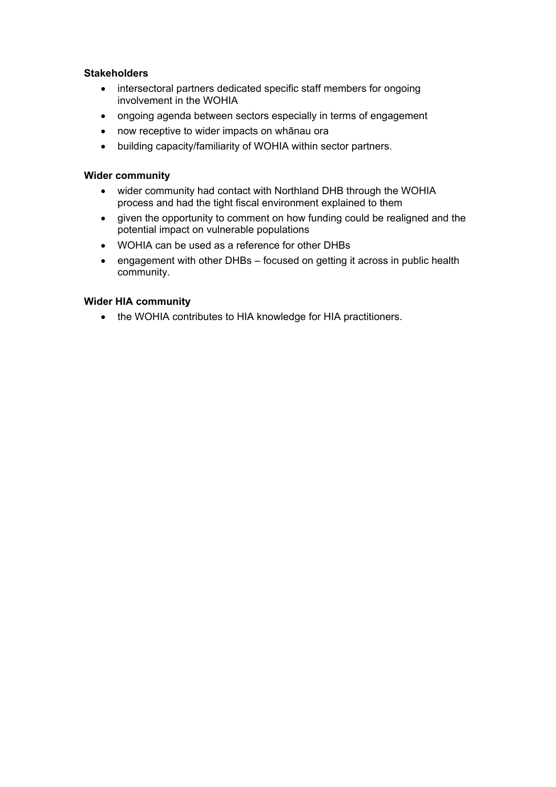#### **Stakeholders**

- intersectoral partners dedicated specific staff members for ongoing involvement in the WOHIA
- ongoing agenda between sectors especially in terms of engagement
- now receptive to wider impacts on whānau ora
- building capacity/familiarity of WOHIA within sector partners.

#### **Wider community**

- wider community had contact with Northland DHB through the WOHIA process and had the tight fiscal environment explained to them
- given the opportunity to comment on how funding could be realigned and the potential impact on vulnerable populations
- WOHIA can be used as a reference for other DHBs
- engagement with other DHBs focused on getting it across in public health community.

#### **Wider HIA community**

• the WOHIA contributes to HIA knowledge for HIA practitioners.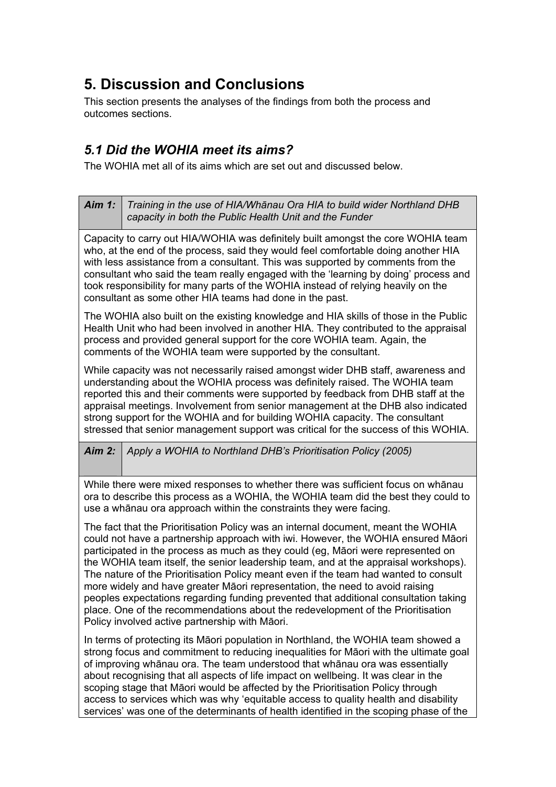# <span id="page-25-0"></span>**5. Discussion and Conclusions**

This section presents the analyses of the findings from both the process and outcomes sections.

# <span id="page-25-1"></span>*5.1 Did the WOHIA meet its aims?*

The WOHIA met all of its aims which are set out and discussed below.

| <b>Aim 1:</b> | Training in the use of HIA/Whānau Ora HIA to build wider Northland DHB<br>capacity in both the Public Health Unit and the Funder                                                                                                                                                                                                                                                                                                                                                                                                                                                                                                                                                                    |  |  |  |  |
|---------------|-----------------------------------------------------------------------------------------------------------------------------------------------------------------------------------------------------------------------------------------------------------------------------------------------------------------------------------------------------------------------------------------------------------------------------------------------------------------------------------------------------------------------------------------------------------------------------------------------------------------------------------------------------------------------------------------------------|--|--|--|--|
|               | Capacity to carry out HIA/WOHIA was definitely built amongst the core WOHIA team<br>who, at the end of the process, said they would feel comfortable doing another HIA<br>with less assistance from a consultant. This was supported by comments from the<br>consultant who said the team really engaged with the 'learning by doing' process and<br>took responsibility for many parts of the WOHIA instead of relying heavily on the<br>consultant as some other HIA teams had done in the past.                                                                                                                                                                                                  |  |  |  |  |
|               | The WOHIA also built on the existing knowledge and HIA skills of those in the Public<br>Health Unit who had been involved in another HIA. They contributed to the appraisal<br>process and provided general support for the core WOHIA team. Again, the<br>comments of the WOHIA team were supported by the consultant.                                                                                                                                                                                                                                                                                                                                                                             |  |  |  |  |
|               | While capacity was not necessarily raised amongst wider DHB staff, awareness and<br>understanding about the WOHIA process was definitely raised. The WOHIA team<br>reported this and their comments were supported by feedback from DHB staff at the<br>appraisal meetings. Involvement from senior management at the DHB also indicated<br>strong support for the WOHIA and for building WOHIA capacity. The consultant<br>stressed that senior management support was critical for the success of this WOHIA.                                                                                                                                                                                     |  |  |  |  |
| Aim $2$ :     | Apply a WOHIA to Northland DHB's Prioritisation Policy (2005)                                                                                                                                                                                                                                                                                                                                                                                                                                                                                                                                                                                                                                       |  |  |  |  |
|               | While there were mixed responses to whether there was sufficient focus on whānau<br>ora to describe this process as a WOHIA, the WOHIA team did the best they could to<br>use a whanau ora approach within the constraints they were facing.                                                                                                                                                                                                                                                                                                                                                                                                                                                        |  |  |  |  |
|               | The fact that the Prioritisation Policy was an internal document, meant the WOHIA<br>could not have a partnership approach with iwi. However, the WOHIA ensured Māori<br>participated in the process as much as they could (eg, Māori were represented on<br>the WOHIA team itself, the senior leadership team, and at the appraisal workshops).<br>The nature of the Prioritisation Policy meant even if the team had wanted to consult<br>more widely and have greater Māori representation, the need to avoid raising<br>peoples expectations regarding funding prevented that additional consultation taking<br>place. One of the recommendations about the redevelopment of the Prioritisation |  |  |  |  |
|               | Policy involved active partnership with Māori.<br>In terms of protecting its Maori population in Northland, the WOHIA team showed a<br>strong focus and commitment to reducing inequalities for Māori with the ultimate goal<br>of improving whanau ora. The team understood that whanau ora was essentially<br>about recognising that all aspects of life impact on wellbeing. It was clear in the<br>scoping stage that Māori would be affected by the Prioritisation Policy through<br>access to services which was why 'equitable access to quality health and disability<br>services' was one of the determinants of health identified in the scoping phase of the                             |  |  |  |  |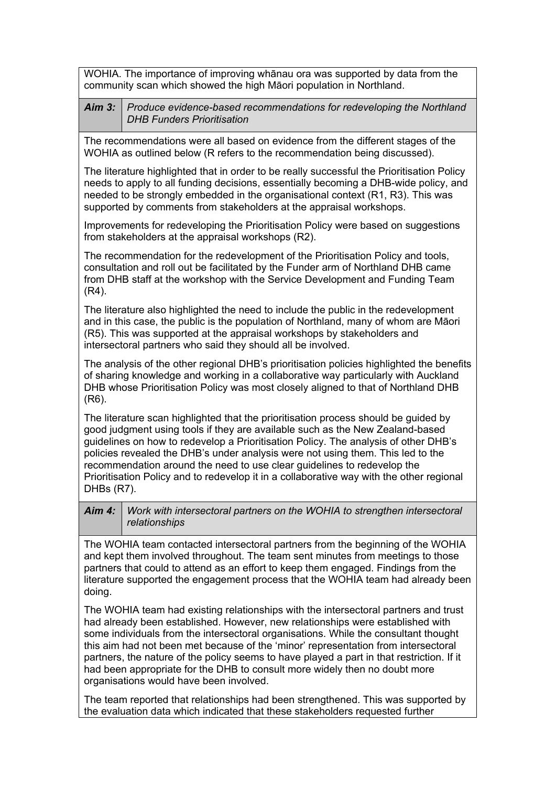WOHIA. The importance of improving whānau ora was supported by data from the community scan which showed the high Māori population in Northland.

| Aim 3:   Produce evidence-based recommendations for redeveloping the Northland |
|--------------------------------------------------------------------------------|
| DHB Funders Prioritisation                                                     |

The recommendations were all based on evidence from the different stages of the WOHIA as outlined below (R refers to the recommendation being discussed).

The literature highlighted that in order to be really successful the Prioritisation Policy needs to apply to all funding decisions, essentially becoming a DHB-wide policy, and needed to be strongly embedded in the organisational context (R1, R3). This was supported by comments from stakeholders at the appraisal workshops.

Improvements for redeveloping the Prioritisation Policy were based on suggestions from stakeholders at the appraisal workshops (R2).

The recommendation for the redevelopment of the Prioritisation Policy and tools, consultation and roll out be facilitated by the Funder arm of Northland DHB came from DHB staff at the workshop with the Service Development and Funding Team (R4).

The literature also highlighted the need to include the public in the redevelopment and in this case, the public is the population of Northland, many of whom are Māori (R5). This was supported at the appraisal workshops by stakeholders and intersectoral partners who said they should all be involved.

The analysis of the other regional DHB's prioritisation policies highlighted the benefits of sharing knowledge and working in a collaborative way particularly with Auckland DHB whose Prioritisation Policy was most closely aligned to that of Northland DHB (R6).

The literature scan highlighted that the prioritisation process should be guided by good judgment using tools if they are available such as the New Zealand-based guidelines on how to redevelop a Prioritisation Policy. The analysis of other DHB's policies revealed the DHB's under analysis were not using them. This led to the recommendation around the need to use clear guidelines to redevelop the Prioritisation Policy and to redevelop it in a collaborative way with the other regional DHBs (R7).

<span id="page-26-0"></span>*Aim 4: Work with intersectoral partners on the WOHIA to strengthen intersectoral relationships*

The WOHIA team contacted intersectoral partners from the beginning of the WOHIA and kept them involved throughout. The team sent minutes from meetings to those partners that could to attend as an effort to keep them engaged. Findings from the literature supported the engagement process that the WOHIA team had already been doing.

The WOHIA team had existing relationships with the intersectoral partners and trust had already been established. However, new relationships were established with some individuals from the intersectoral organisations. While the consultant thought this aim had not been met because of the 'minor' representation from intersectoral partners, the nature of the policy seems to have played a part in that restriction. If it had been appropriate for the DHB to consult more widely then no doubt more organisations would have been involved.

The team reported that relationships had been strengthened. This was supported by the evaluation data which indicated that these stakeholders requested further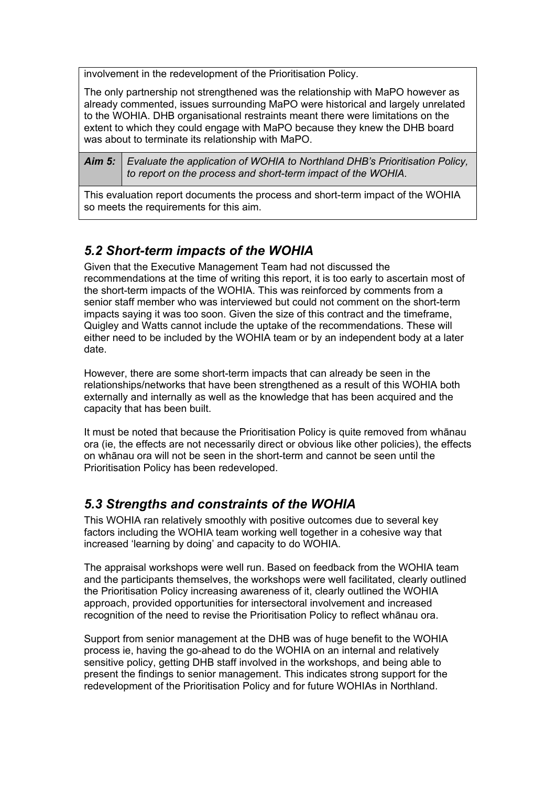involvement in the redevelopment of the Prioritisation Policy.

The only partnership not strengthened was the relationship with MaPO however as already commented, issues surrounding MaPO were historical and largely unrelated to the WOHIA. DHB organisational restraints meant there were limitations on the extent to which they could engage with MaPO because they knew the DHB board was about to terminate its relationship with MaPO.

*Aim 5: Evaluate the application of WOHIA to Northland DHB's Prioritisation Policy, to report on the process and short-term impact of the WOHIA.* 

This evaluation report documents the process and short-term impact of the WOHIA so meets the requirements for this aim.

# <span id="page-27-0"></span>*5.2 Short-term impacts of the WOHIA*

Given that the Executive Management Team had not discussed the recommendations at the time of writing this report, it is too early to ascertain most of the short-term impacts of the WOHIA. This was reinforced by comments from a senior staff member who was interviewed but could not comment on the short-term impacts saying it was too soon. Given the size of this contract and the timeframe, Quigley and Watts cannot include the uptake of the recommendations. These will either need to be included by the WOHIA team or by an independent body at a later date.

However, there are some short-term impacts that can already be seen in the relationships/networks that have been strengthened as a result of this WOHIA both externally and internally as well as the knowledge that has been acquired and the capacity that has been built.

It must be noted that because the Prioritisation Policy is quite removed from whānau ora (ie, the effects are not necessarily direct or obvious like other policies), the effects on whānau ora will not be seen in the short-term and cannot be seen until the Prioritisation Policy has been redeveloped.

# *5.3 Strengths and constraints of the WOHIA*

This WOHIA ran relatively smoothly with positive outcomes due to several key factors including the WOHIA team working well together in a cohesive way that increased 'learning by doing' and capacity to do WOHIA.

The appraisal workshops were well run. Based on feedback from the WOHIA team and the participants themselves, the workshops were well facilitated, clearly outlined the Prioritisation Policy increasing awareness of it, clearly outlined the WOHIA approach, provided opportunities for intersectoral involvement and increased recognition of the need to revise the Prioritisation Policy to reflect whānau ora.

Support from senior management at the DHB was of huge benefit to the WOHIA process ie, having the go-ahead to do the WOHIA on an internal and relatively sensitive policy, getting DHB staff involved in the workshops, and being able to present the findings to senior management. This indicates strong support for the redevelopment of the Prioritisation Policy and for future WOHIAs in Northland.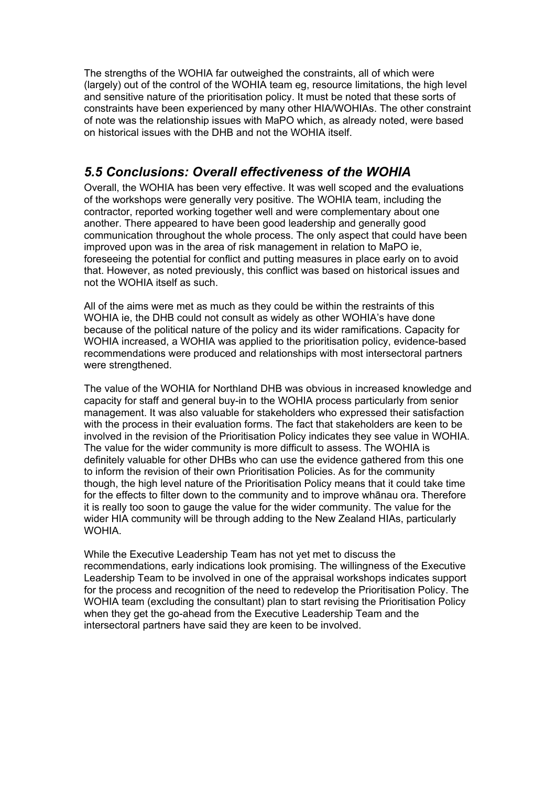The strengths of the WOHIA far outweighed the constraints, all of which were (largely) out of the control of the WOHIA team eg, resource limitations, the high level and sensitive nature of the prioritisation policy. It must be noted that these sorts of constraints have been experienced by many other HIA/WOHIAs. The other constraint of note was the relationship issues with MaPO which, as already noted, were based on historical issues with the DHB and not the WOHIA itself.

# <span id="page-28-0"></span>*5.5 Conclusions: Overall effectiveness of the WOHIA*

Overall, the WOHIA has been very effective. It was well scoped and the evaluations of the workshops were generally very positive. The WOHIA team, including the contractor, reported working together well and were complementary about one another. There appeared to have been good leadership and generally good communication throughout the whole process. The only aspect that could have been improved upon was in the area of risk management in relation to MaPO ie, foreseeing the potential for conflict and putting measures in place early on to avoid that. However, as noted previously, this conflict was based on historical issues and not the WOHIA itself as such.

All of the aims were met as much as they could be within the restraints of this WOHIA ie, the DHB could not consult as widely as other WOHIA's have done because of the political nature of the policy and its wider ramifications. Capacity for WOHIA increased, a WOHIA was applied to the prioritisation policy, evidence-based recommendations were produced and relationships with most intersectoral partners were strengthened.

The value of the WOHIA for Northland DHB was obvious in increased knowledge and capacity for staff and general buy-in to the WOHIA process particularly from senior management. It was also valuable for stakeholders who expressed their satisfaction with the process in their evaluation forms. The fact that stakeholders are keen to be involved in the revision of the Prioritisation Policy indicates they see value in WOHIA. The value for the wider community is more difficult to assess. The WOHIA is definitely valuable for other DHBs who can use the evidence gathered from this one to inform the revision of their own Prioritisation Policies. As for the community though, the high level nature of the Prioritisation Policy means that it could take time for the effects to filter down to the community and to improve whānau ora. Therefore it is really too soon to gauge the value for the wider community. The value for the wider HIA community will be through adding to the New Zealand HIAs, particularly **WOHIA** 

While the Executive Leadership Team has not yet met to discuss the recommendations, early indications look promising. The willingness of the Executive Leadership Team to be involved in one of the appraisal workshops indicates support for the process and recognition of the need to redevelop the Prioritisation Policy. The WOHIA team (excluding the consultant) plan to start revising the Prioritisation Policy when they get the go-ahead from the Executive Leadership Team and the intersectoral partners have said they are keen to be involved.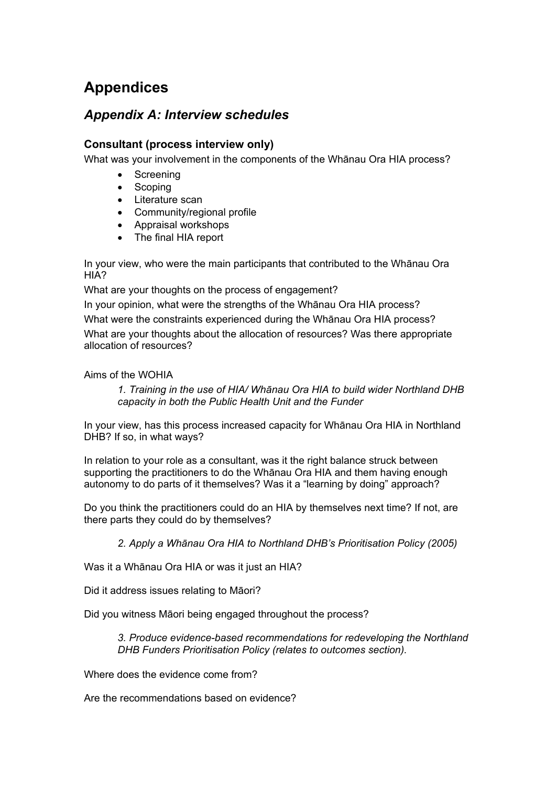# <span id="page-29-0"></span>**Appendices**

# <span id="page-29-1"></span>*Appendix A: Interview schedules*

### **Consultant (process interview only)**

What was your involvement in the components of the Whānau Ora HIA process?

- Screening
- Scoping
- Literature scan
- Community/regional profile
- Appraisal workshops
- The final HIA report

In your view, who were the main participants that contributed to the Whānau Ora HIA?

What are your thoughts on the process of engagement?

In your opinion, what were the strengths of the Whānau Ora HIA process?

What were the constraints experienced during the Whānau Ora HIA process?

What are your thoughts about the allocation of resources? Was there appropriate allocation of resources?

### Aims of the WOHIA

*1. Training in the use of HIA/ Whānau Ora HIA to build wider Northland DHB capacity in both the Public Health Unit and the Funder* 

In your view, has this process increased capacity for Whānau Ora HIA in Northland DHB? If so, in what ways?

In relation to your role as a consultant, was it the right balance struck between supporting the practitioners to do the Whānau Ora HIA and them having enough autonomy to do parts of it themselves? Was it a "learning by doing" approach?

Do you think the practitioners could do an HIA by themselves next time? If not, are there parts they could do by themselves?

*2. Apply a Whānau Ora HIA to Northland DHB's Prioritisation Policy (2005)* 

Was it a Whānau Ora HIA or was it just an HIA?

Did it address issues relating to Māori?

Did you witness Māori being engaged throughout the process?

*3. Produce evidence-based recommendations for redeveloping the Northland DHB Funders Prioritisation Policy (relates to outcomes section).* 

Where does the evidence come from?

Are the recommendations based on evidence?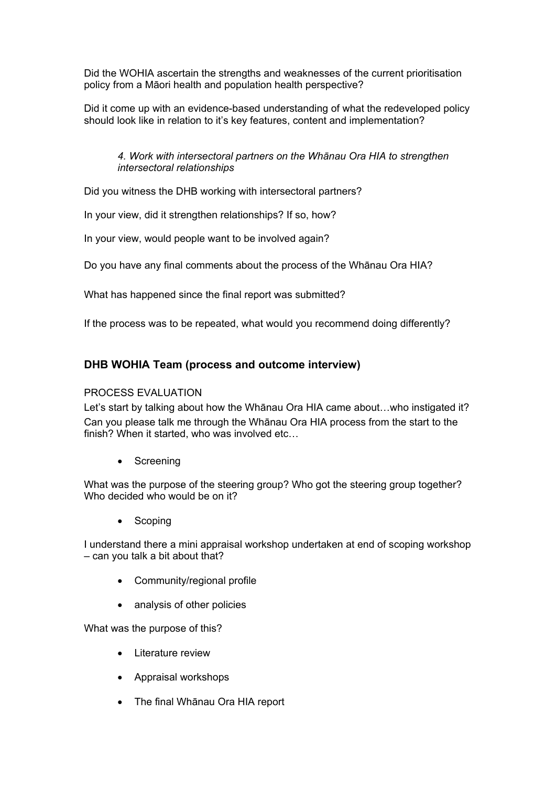Did the WOHIA ascertain the strengths and weaknesses of the current prioritisation policy from a Māori health and population health perspective?

Did it come up with an evidence-based understanding of what the redeveloped policy should look like in relation to it's key features, content and implementation?

### *4. Work with intersectoral partners on the Whānau Ora HIA to strengthen intersectoral relationships*

Did you witness the DHB working with intersectoral partners?

In your view, did it strengthen relationships? If so, how?

In your view, would people want to be involved again?

Do you have any final comments about the process of the Whānau Ora HIA?

What has happened since the final report was submitted?

If the process was to be repeated, what would you recommend doing differently?

### **DHB WOHIA Team (process and outcome interview)**

### PROCESS EVALUATION

Let's start by talking about how the Whānau Ora HIA came about...who instigated it? Can you please talk me through the Whānau Ora HIA process from the start to the finish? When it started, who was involved etc…

• Screening

What was the purpose of the steering group? Who got the steering group together? Who decided who would be on it?

• Scoping

I understand there a mini appraisal workshop undertaken at end of scoping workshop – can you talk a bit about that?

- Community/regional profile
- analysis of other policies

What was the purpose of this?

- Literature review
- Appraisal workshops
- The final Whānau Ora HIA report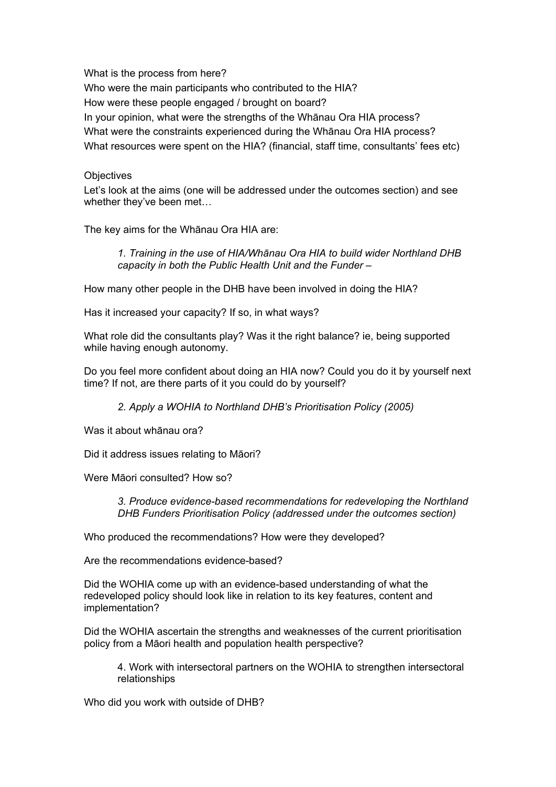What is the process from here? Who were the main participants who contributed to the HIA? How were these people engaged / brought on board? In your opinion, what were the strengths of the Whānau Ora HIA process? What were the constraints experienced during the Whānau Ora HIA process? What resources were spent on the HIA? (financial, staff time, consultants' fees etc)

#### **Objectives**

Let's look at the aims (one will be addressed under the outcomes section) and see whether they've been met…

The key aims for the Whānau Ora HIA are:

*1. Training in the use of HIA/Whānau Ora HIA to build wider Northland DHB capacity in both the Public Health Unit and the Funder –* 

How many other people in the DHB have been involved in doing the HIA?

Has it increased your capacity? If so, in what ways?

What role did the consultants play? Was it the right balance? ie, being supported while having enough autonomy.

Do you feel more confident about doing an HIA now? Could you do it by yourself next time? If not, are there parts of it you could do by yourself?

*2. Apply a WOHIA to Northland DHB's Prioritisation Policy (2005)* 

Was it about whānau ora?

Did it address issues relating to Māori?

Were Māori consulted? How so?

*3. Produce evidence-based recommendations for redeveloping the Northland DHB Funders Prioritisation Policy (addressed under the outcomes section)* 

Who produced the recommendations? How were they developed?

Are the recommendations evidence-based?

Did the WOHIA come up with an evidence-based understanding of what the redeveloped policy should look like in relation to its key features, content and implementation?

Did the WOHIA ascertain the strengths and weaknesses of the current prioritisation policy from a Māori health and population health perspective?

4. Work with intersectoral partners on the WOHIA to strengthen intersectoral relationships

Who did you work with outside of DHB?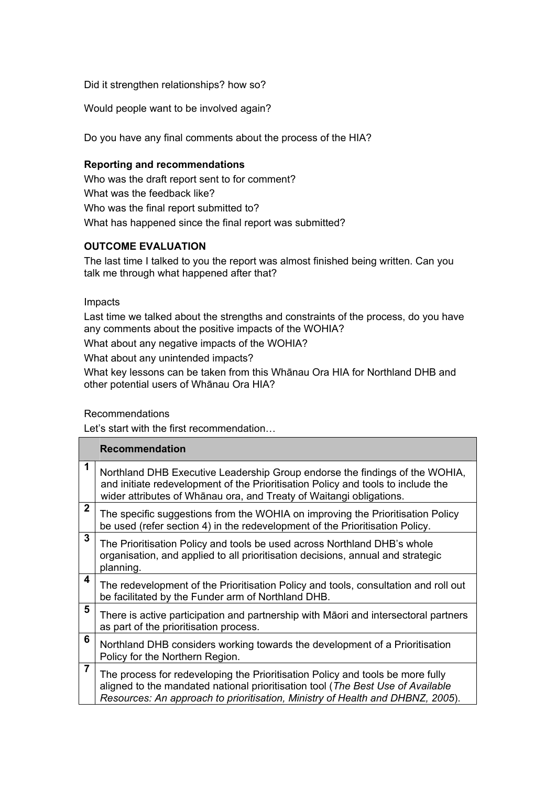Did it strengthen relationships? how so?

Would people want to be involved again?

Do you have any final comments about the process of the HIA?

#### **Reporting and recommendations**

Who was the draft report sent to for comment? What was the feedback like? Who was the final report submitted to? What has happened since the final report was submitted?

### **OUTCOME EVALUATION**

The last time I talked to you the report was almost finished being written. Can you talk me through what happened after that?

Impacts

Last time we talked about the strengths and constraints of the process, do you have any comments about the positive impacts of the WOHIA?

What about any negative impacts of the WOHIA?

What about any unintended impacts?

What key lessons can be taken from this Whānau Ora HIA for Northland DHB and other potential users of Whānau Ora HIA?

#### Recommendations

Let's start with the first recommendation…

|                | <b>Recommendation</b>                                                                                                                                                                                                                               |
|----------------|-----------------------------------------------------------------------------------------------------------------------------------------------------------------------------------------------------------------------------------------------------|
| 1              | Northland DHB Executive Leadership Group endorse the findings of the WOHIA,<br>and initiate redevelopment of the Prioritisation Policy and tools to include the<br>wider attributes of Whānau ora, and Treaty of Waitangi obligations.              |
| $\overline{2}$ | The specific suggestions from the WOHIA on improving the Prioritisation Policy<br>be used (refer section 4) in the redevelopment of the Prioritisation Policy.                                                                                      |
| $\mathbf{3}$   | The Prioritisation Policy and tools be used across Northland DHB's whole<br>organisation, and applied to all prioritisation decisions, annual and strategic<br>planning.                                                                            |
| 4              | The redevelopment of the Prioritisation Policy and tools, consultation and roll out<br>be facilitated by the Funder arm of Northland DHB.                                                                                                           |
| 5              | There is active participation and partnership with Māori and intersectoral partners<br>as part of the prioritisation process.                                                                                                                       |
| 6              | Northland DHB considers working towards the development of a Prioritisation<br>Policy for the Northern Region.                                                                                                                                      |
| $\overline{7}$ | The process for redeveloping the Prioritisation Policy and tools be more fully<br>aligned to the mandated national prioritisation tool (The Best Use of Available<br>Resources: An approach to prioritisation, Ministry of Health and DHBNZ, 2005). |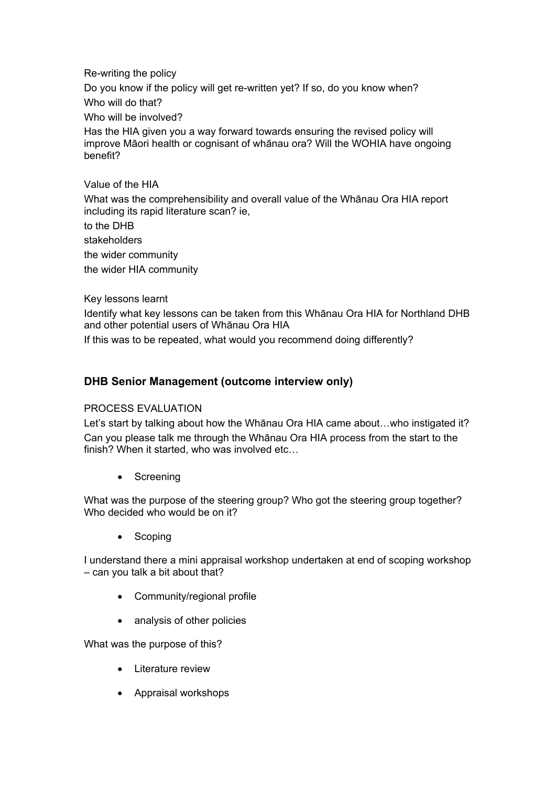Re-writing the policy Do you know if the policy will get re-written yet? If so, do you know when? Who will do that? Who will be involved? Has the HIA given you a way forward towards ensuring the revised policy will improve Māori health or cognisant of whānau ora? Will the WOHIA have ongoing benefit?

Value of the HIA What was the comprehensibility and overall value of the Whānau Ora HIA report including its rapid literature scan? ie,

to the DHB

stakeholders

the wider community

the wider HIA community

Key lessons learnt

Identify what key lessons can be taken from this Whānau Ora HIA for Northland DHB and other potential users of Whānau Ora HIA

If this was to be repeated, what would you recommend doing differently?

### **DHB Senior Management (outcome interview only)**

#### PROCESS EVALUATION

Let's start by talking about how the Whānau Ora HIA came about...who instigated it? Can you please talk me through the Whānau Ora HIA process from the start to the finish? When it started, who was involved etc…

• Screening

What was the purpose of the steering group? Who got the steering group together? Who decided who would be on it?

• Scoping

I understand there a mini appraisal workshop undertaken at end of scoping workshop – can you talk a bit about that?

- Community/regional profile
- analysis of other policies

What was the purpose of this?

- Literature review
- Appraisal workshops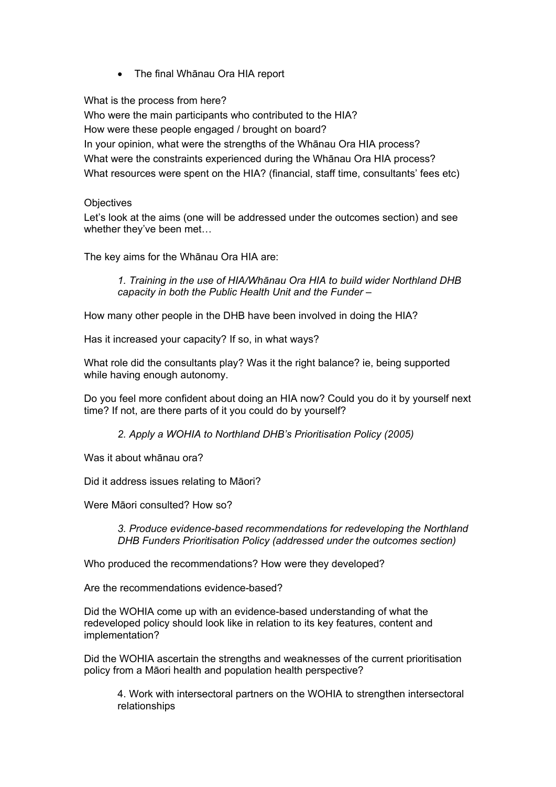• The final Whānau Ora HIA report

What is the process from here? Who were the main participants who contributed to the HIA? How were these people engaged / brought on board? In your opinion, what were the strengths of the Whānau Ora HIA process? What were the constraints experienced during the Whānau Ora HIA process? What resources were spent on the HIA? (financial, staff time, consultants' fees etc)

### **Objectives**

Let's look at the aims (one will be addressed under the outcomes section) and see whether they've been met…

The key aims for the Whānau Ora HIA are:

*1. Training in the use of HIA/Whānau Ora HIA to build wider Northland DHB capacity in both the Public Health Unit and the Funder –* 

How many other people in the DHB have been involved in doing the HIA?

Has it increased your capacity? If so, in what ways?

What role did the consultants play? Was it the right balance? ie, being supported while having enough autonomy.

Do you feel more confident about doing an HIA now? Could you do it by yourself next time? If not, are there parts of it you could do by yourself?

*2. Apply a WOHIA to Northland DHB's Prioritisation Policy (2005)* 

Was it about whānau ora?

Did it address issues relating to Māori?

Were Māori consulted? How so?

*3. Produce evidence-based recommendations for redeveloping the Northland DHB Funders Prioritisation Policy (addressed under the outcomes section)* 

Who produced the recommendations? How were they developed?

Are the recommendations evidence-based?

Did the WOHIA come up with an evidence-based understanding of what the redeveloped policy should look like in relation to its key features, content and implementation?

Did the WOHIA ascertain the strengths and weaknesses of the current prioritisation policy from a Māori health and population health perspective?

4. Work with intersectoral partners on the WOHIA to strengthen intersectoral relationships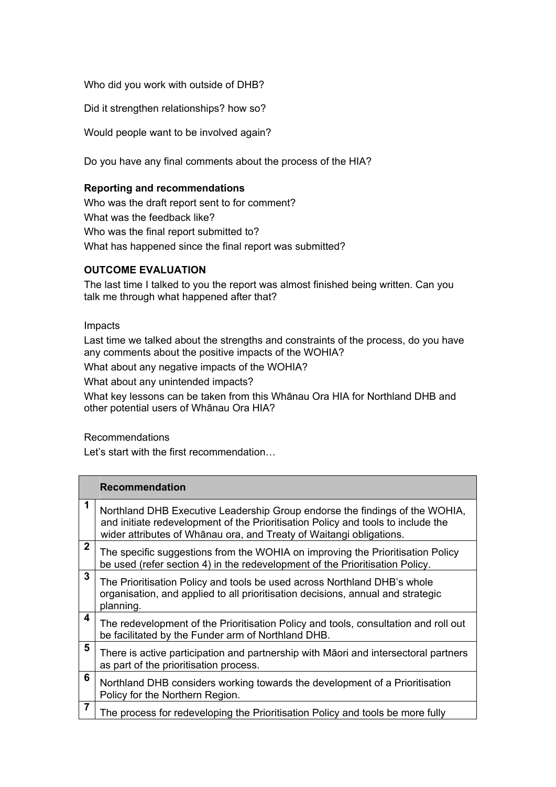Who did you work with outside of DHB?

Did it strengthen relationships? how so?

Would people want to be involved again?

Do you have any final comments about the process of the HIA?

### **Reporting and recommendations**

Who was the draft report sent to for comment? What was the feedback like? Who was the final report submitted to? What has happened since the final report was submitted?

### **OUTCOME EVALUATION**

The last time I talked to you the report was almost finished being written. Can you talk me through what happened after that?

### Impacts

Last time we talked about the strengths and constraints of the process, do you have any comments about the positive impacts of the WOHIA?

What about any negative impacts of the WOHIA?

What about any unintended impacts?

What key lessons can be taken from this Whānau Ora HIA for Northland DHB and other potential users of Whānau Ora HIA?

### Recommendations

Let's start with the first recommendation…

|                | <b>Recommendation</b>                                                                                                                                                                                                                  |
|----------------|----------------------------------------------------------------------------------------------------------------------------------------------------------------------------------------------------------------------------------------|
| 1              | Northland DHB Executive Leadership Group endorse the findings of the WOHIA,<br>and initiate redevelopment of the Prioritisation Policy and tools to include the<br>wider attributes of Whānau ora, and Treaty of Waitangi obligations. |
| 2              | The specific suggestions from the WOHIA on improving the Prioritisation Policy<br>be used (refer section 4) in the redevelopment of the Prioritisation Policy.                                                                         |
| 3              | The Prioritisation Policy and tools be used across Northland DHB's whole<br>organisation, and applied to all prioritisation decisions, annual and strategic<br>planning.                                                               |
| 4              | The redevelopment of the Prioritisation Policy and tools, consultation and roll out<br>be facilitated by the Funder arm of Northland DHB.                                                                                              |
| 5              | There is active participation and partnership with Māori and intersectoral partners<br>as part of the prioritisation process.                                                                                                          |
| 6              | Northland DHB considers working towards the development of a Prioritisation<br>Policy for the Northern Region.                                                                                                                         |
| $\overline{7}$ | The process for redeveloping the Prioritisation Policy and tools be more fully                                                                                                                                                         |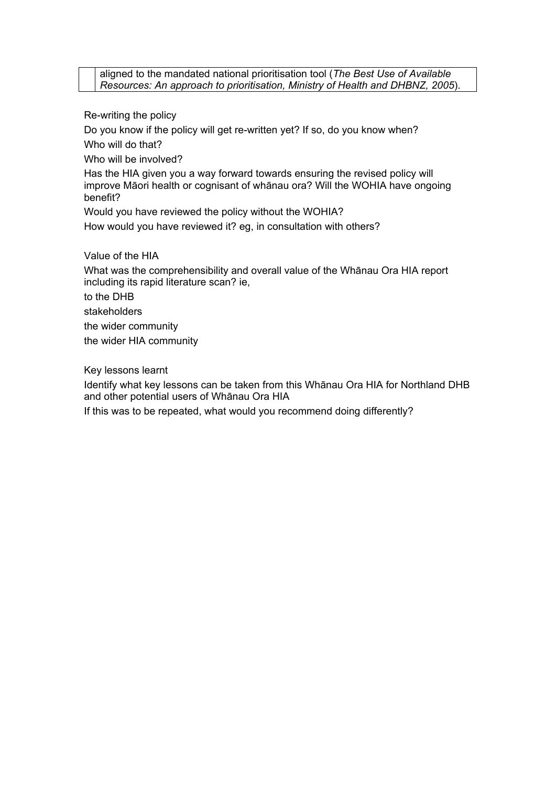aligned to the mandated national prioritisation tool (*The Best Use of Available Resources: An approach to prioritisation, Ministry of Health and DHBNZ, 2005*).

Re-writing the policy

Do you know if the policy will get re-written yet? If so, do you know when? Who will do that?

Who will be involved?

Has the HIA given you a way forward towards ensuring the revised policy will improve Māori health or cognisant of whānau ora? Will the WOHIA have ongoing benefit?

Would you have reviewed the policy without the WOHIA?

How would you have reviewed it? eg, in consultation with others?

Value of the HIA

What was the comprehensibility and overall value of the Whānau Ora HIA report including its rapid literature scan? ie,

to the DHB

stakeholders

the wider community

the wider HIA community

Key lessons learnt

Identify what key lessons can be taken from this Whānau Ora HIA for Northland DHB and other potential users of Whānau Ora HIA

If this was to be repeated, what would you recommend doing differently?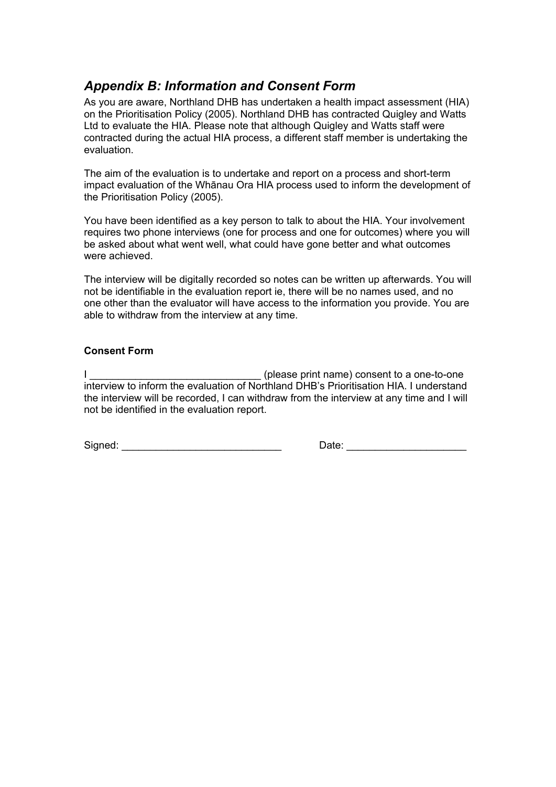# <span id="page-37-0"></span>*Appendix B: Information and Consent Form*

As you are aware, Northland DHB has undertaken a health impact assessment (HIA) on the Prioritisation Policy (2005). Northland DHB has contracted Quigley and Watts Ltd to evaluate the HIA. Please note that although Quigley and Watts staff were contracted during the actual HIA process, a different staff member is undertaking the evaluation.

The aim of the evaluation is to undertake and report on a process and short-term impact evaluation of the Whānau Ora HIA process used to inform the development of the Prioritisation Policy (2005).

You have been identified as a key person to talk to about the HIA. Your involvement requires two phone interviews (one for process and one for outcomes) where you will be asked about what went well, what could have gone better and what outcomes were achieved.

The interview will be digitally recorded so notes can be written up afterwards. You will not be identifiable in the evaluation report ie, there will be no names used, and no one other than the evaluator will have access to the information you provide. You are able to withdraw from the interview at any time.

### **Consent Form**

I discussed in the set of the set of the set of the set of the set of the set of the set of the set of the set of the set of the set of the set of the set of the set of the set of the set of the set of the set of the set o interview to inform the evaluation of Northland DHB's Prioritisation HIA. I understand the interview will be recorded, I can withdraw from the interview at any time and I will not be identified in the evaluation report.

Signed: \_\_\_\_\_\_\_\_\_\_\_\_\_\_\_\_\_\_\_\_\_\_\_\_\_\_\_\_ Date: \_\_\_\_\_\_\_\_\_\_\_\_\_\_\_\_\_\_\_\_\_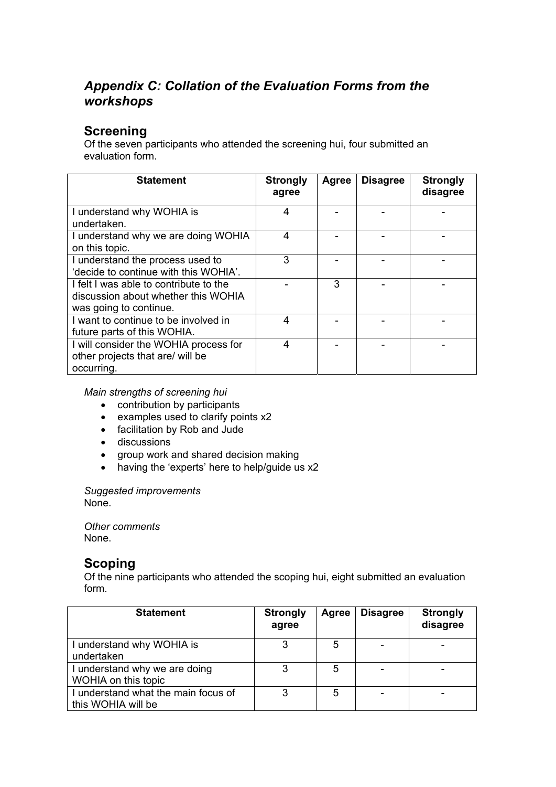# <span id="page-38-0"></span>*Appendix C: Collation of the Evaluation Forms from the workshops*

# **Screening**

Of the seven participants who attended the screening hui, four submitted an evaluation form.

| <b>Statement</b>                                                                                        | <b>Strongly</b><br>agree | Agree | <b>Disagree</b> | <b>Strongly</b><br>disagree |
|---------------------------------------------------------------------------------------------------------|--------------------------|-------|-----------------|-----------------------------|
| I understand why WOHIA is<br>undertaken.                                                                | 4                        |       |                 |                             |
| I understand why we are doing WOHIA<br>on this topic.                                                   | 4                        |       |                 |                             |
| I understand the process used to<br>'decide to continue with this WOHIA'.                               | 3                        |       |                 |                             |
| I felt I was able to contribute to the<br>discussion about whether this WOHIA<br>was going to continue. |                          | 3     |                 |                             |
| I want to continue to be involved in<br>future parts of this WOHIA.                                     | 4                        |       |                 |                             |
| I will consider the WOHIA process for<br>other projects that are/ will be<br>occurring.                 | 4                        |       |                 |                             |

*Main strengths of screening hui* 

- contribution by participants
- examples used to clarify points x2
- facilitation by Rob and Jude
- **•** discussions
- group work and shared decision making
- having the 'experts' here to help/guide us x2

*Suggested improvements* 

None.

*Other comments*  None.

## **Scoping**

Of the nine participants who attended the scoping hui, eight submitted an evaluation form.

| <b>Statement</b>                                          | <b>Strongly</b><br>agree | Agree | <b>Disagree</b> | <b>Strongly</b><br>disagree |
|-----------------------------------------------------------|--------------------------|-------|-----------------|-----------------------------|
| I understand why WOHIA is<br>undertaken                   | 3                        | 5     |                 |                             |
| I understand why we are doing<br>WOHIA on this topic      | 3                        | 5     |                 |                             |
| I understand what the main focus of<br>this WOHIA will be | 3                        | 5     |                 |                             |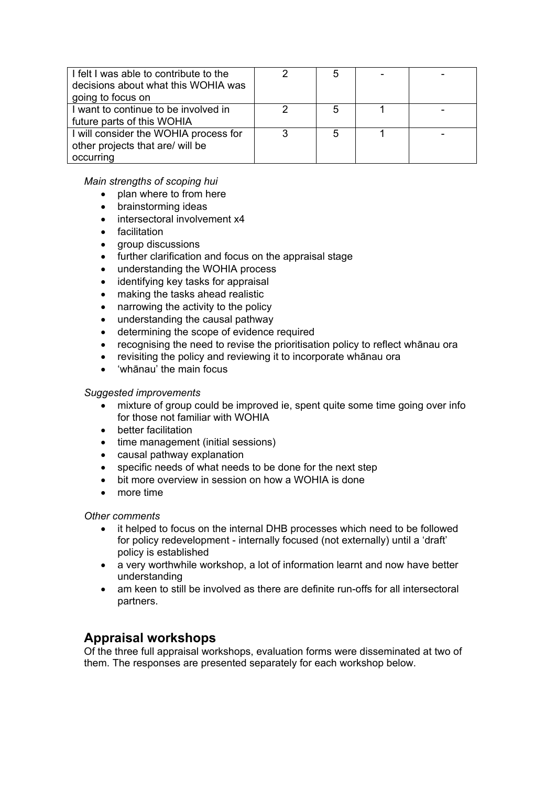| I felt I was able to contribute to the<br>decisions about what this WOHIA was<br>going to focus on |   | 5 |  |
|----------------------------------------------------------------------------------------------------|---|---|--|
| I want to continue to be involved in<br>future parts of this WOHIA                                 |   | 5 |  |
| I will consider the WOHIA process for<br>other projects that are/ will be<br>occurring             | ົ | 5 |  |

*Main strengths of scoping hui* 

- plan where to from here
- brainstorming ideas
- intersectoral involvement x4
- facilitation
- aroup discussions
- further clarification and focus on the appraisal stage
- understanding the WOHIA process
- identifying key tasks for appraisal
- making the tasks ahead realistic
- narrowing the activity to the policy
- understanding the causal pathway
- determining the scope of evidence required
- recognising the need to revise the prioritisation policy to reflect whānau ora
- revisiting the policy and reviewing it to incorporate whānau ora
- 'whānau' the main focus

#### *Suggested improvements*

- mixture of group could be improved ie, spent quite some time going over info for those not familiar with WOHIA
- better facilitation
- time management (initial sessions)
- causal pathway explanation
- specific needs of what needs to be done for the next step
- bit more overview in session on how a WOHIA is done
- more time

#### *Other comments*

- it helped to focus on the internal DHB processes which need to be followed for policy redevelopment - internally focused (not externally) until a 'draft' policy is established
- a very worthwhile workshop, a lot of information learnt and now have better understanding
- am keen to still be involved as there are definite run-offs for all intersectoral partners.

## **Appraisal workshops**

Of the three full appraisal workshops, evaluation forms were disseminated at two of them. The responses are presented separately for each workshop below.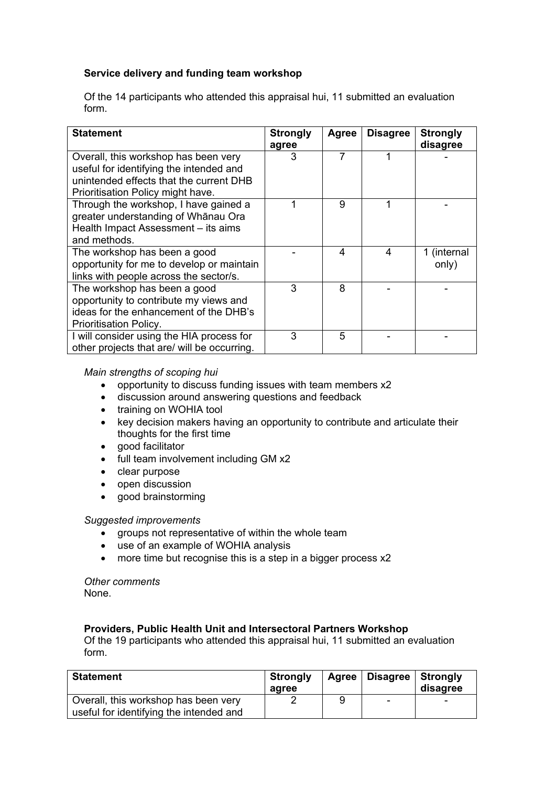### **Service delivery and funding team workshop**

Of the 14 participants who attended this appraisal hui, 11 submitted an evaluation form.

| <b>Statement</b>                            | <b>Strongly</b> | Agree | <b>Disagree</b> | <b>Strongly</b> |
|---------------------------------------------|-----------------|-------|-----------------|-----------------|
|                                             | agree           |       |                 | disagree        |
| Overall, this workshop has been very        | 3               |       | 1               |                 |
| useful for identifying the intended and     |                 |       |                 |                 |
| unintended effects that the current DHB     |                 |       |                 |                 |
| Prioritisation Policy might have.           |                 |       |                 |                 |
| Through the workshop, I have gained a       |                 | 9     | 1               |                 |
| greater understanding of Whānau Ora         |                 |       |                 |                 |
| Health Impact Assessment - its aims         |                 |       |                 |                 |
| and methods.                                |                 |       |                 |                 |
| The workshop has been a good                |                 | 4     | 4               | 1 (internal     |
| opportunity for me to develop or maintain   |                 |       |                 | only)           |
| links with people across the sector/s.      |                 |       |                 |                 |
| The workshop has been a good                | 3               | 8     |                 |                 |
| opportunity to contribute my views and      |                 |       |                 |                 |
| ideas for the enhancement of the DHB's      |                 |       |                 |                 |
| Prioritisation Policy.                      |                 |       |                 |                 |
| I will consider using the HIA process for   | 3               | 5     |                 |                 |
| other projects that are/ will be occurring. |                 |       |                 |                 |

#### *Main strengths of scoping hui*

- opportunity to discuss funding issues with team members x2
- discussion around answering questions and feedback
- training on WOHIA tool
- key decision makers having an opportunity to contribute and articulate their thoughts for the first time
- qood facilitator
- full team involvement including GM x2
- clear purpose
- open discussion
- good brainstorming

#### *Suggested improvements*

- groups not representative of within the whole team
- use of an example of WOHIA analysis
- more time but recognise this is a step in a bigger process x2

*Other comments*  None.

#### **Providers, Public Health Unit and Intersectoral Partners Workshop**

Of the 19 participants who attended this appraisal hui, 11 submitted an evaluation form.

| <b>Statement</b>                                                                | <b>Strongly</b><br>agree |   | Agree   Disagree   Strongly | disagree                 |
|---------------------------------------------------------------------------------|--------------------------|---|-----------------------------|--------------------------|
| Overall, this workshop has been very<br>useful for identifying the intended and |                          | 9 | $\overline{\phantom{0}}$    | $\overline{\phantom{0}}$ |